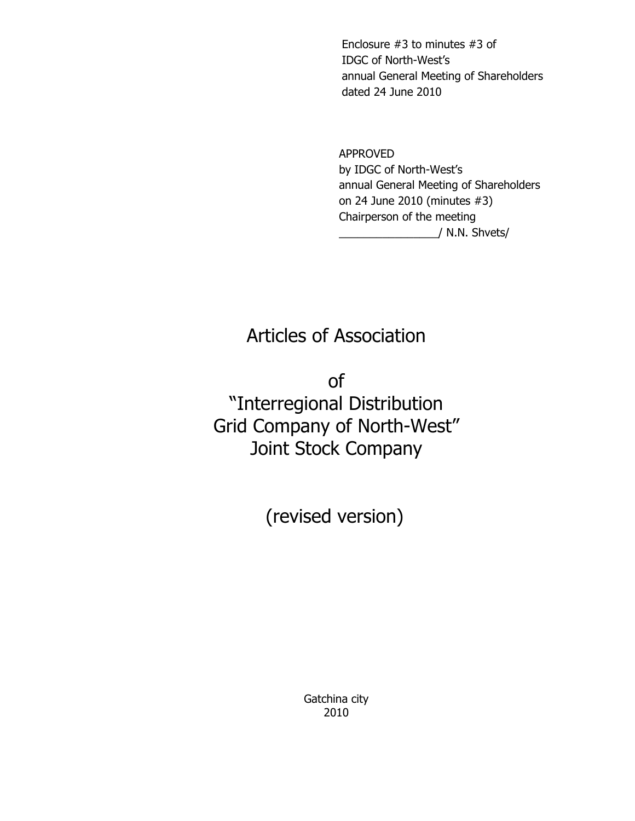Enclosure #3 to minutes #3 of IDGC of North-West's annual General Meeting of Shareholders dated 24 June 2010

 APPROVED by IDGC of North-West's annual General Meeting of Shareholders on 24 June 2010 (minutes #3) Chairperson of the meeting \_\_\_\_\_\_\_\_\_\_\_\_\_\_\_\_/ N.N. Shvets/

# Articles of Association

of "Interregional Distribution Grid Company of North-West" Joint Stock Company

(revised version)

Gatchina city 2010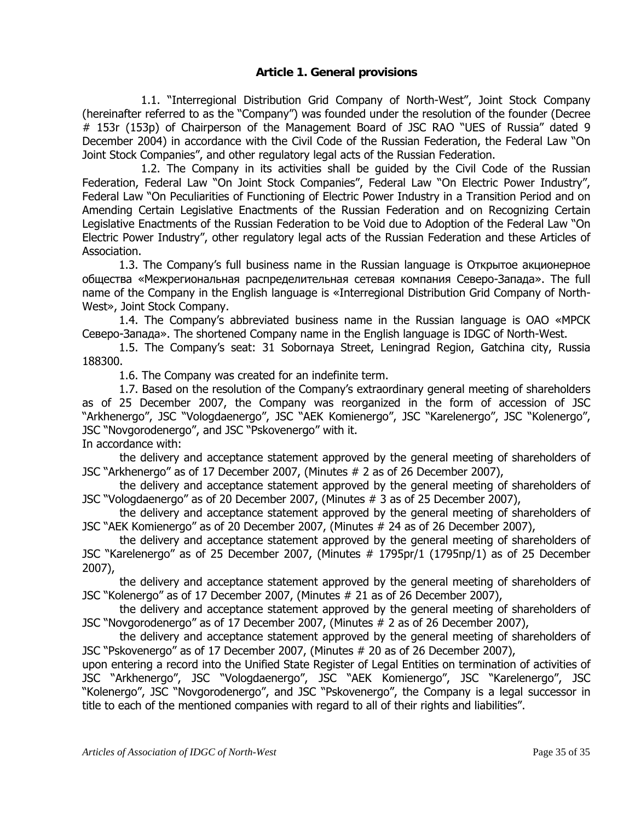## **Article 1. General provisions**

 1.1. "Interregional Distribution Grid Company of North-West", Joint Stock Company (hereinafter referred to as the "Company") was founded under the resolution of the founder (Decree # 153r (153р) of Chairperson of the Management Board of JSC RAO "UES of Russia" dated 9 December 2004) in accordance with the Civil Code of the Russian Federation, the Federal Law "On Joint Stock Companies", and other regulatory legal acts of the Russian Federation.

 1.2. The Company in its activities shall be guided by the Civil Code of the Russian Federation, Federal Law "On Joint Stock Companies", Federal Law "On Electric Power Industry", Federal Law "On Peculiarities of Functioning of Electric Power Industry in a Transition Period and on Amending Certain Legislative Enactments of the Russian Federation and on Recognizing Certain Legislative Enactments of the Russian Federation to be Void due to Adoption of the Federal Law "On Electric Power Industry", other regulatory legal acts of the Russian Federation and these Articles of Association.

1.3. The Company's full business name in the Russian language is Открытое акционерное общества «Межрегиональная распределительная сетевая компания Северо-Запада». The full name of the Company in the English language is «Interregional Distribution Grid Company of North-West», Joint Stock Company.

1.4. The Company's abbreviated business name in the Russian language is ОАО «МРСК Северо-Запада». The shortened Company name in the English language is IDGC of North-West.

1.5. The Company's seat: 31 Sobornaya Street, Leningrad Region, Gatchina city, Russia 188300.

1.6. The Company was created for an indefinite term.

1.7. Based on the resolution of the Company's extraordinary general meeting of shareholders as of 25 December 2007, the Company was reorganized in the form of accession of JSC "Arkhenergo", JSC "Vologdaenergo", JSC "AEK Komienergo", JSC "Karelenergo", JSC "Kolenergo", JSC "Novgorodenergo", and JSC "Pskovenergo" with it.

In accordance with:

the delivery and acceptance statement approved by the general meeting of shareholders of JSC "Arkhenergo" as of 17 December 2007, (Minutes # 2 as of 26 December 2007),

the delivery and acceptance statement approved by the general meeting of shareholders of JSC "Vologdaenergo" as of 20 December 2007, (Minutes # 3 as of 25 December 2007),

the delivery and acceptance statement approved by the general meeting of shareholders of JSC "AEK Komienergo" as of 20 December 2007, (Minutes # 24 as of 26 December 2007),

the delivery and acceptance statement approved by the general meeting of shareholders of JSC "Karelenergo" as of 25 December 2007, (Minutes # 1795pr/1 (1795пр/1) as of 25 December 2007),

the delivery and acceptance statement approved by the general meeting of shareholders of JSC "Kolenergo" as of 17 December 2007, (Minutes # 21 as of 26 December 2007),

the delivery and acceptance statement approved by the general meeting of shareholders of JSC "Novgorodenergo" as of 17 December 2007, (Minutes # 2 as of 26 December 2007),

the delivery and acceptance statement approved by the general meeting of shareholders of JSC "Pskovenergo" as of 17 December 2007, (Minutes # 20 as of 26 December 2007),

upon entering a record into the Unified State Register of Legal Entities on termination of activities of JSC "Arkhenergo", JSC "Vologdaenergo", JSC "AEK Komienergo", JSC "Karelenergo", JSC "Kolenergo", JSC "Novgorodenergo", and JSC "Pskovenergo", the Company is a legal successor in title to each of the mentioned companies with regard to all of their rights and liabilities".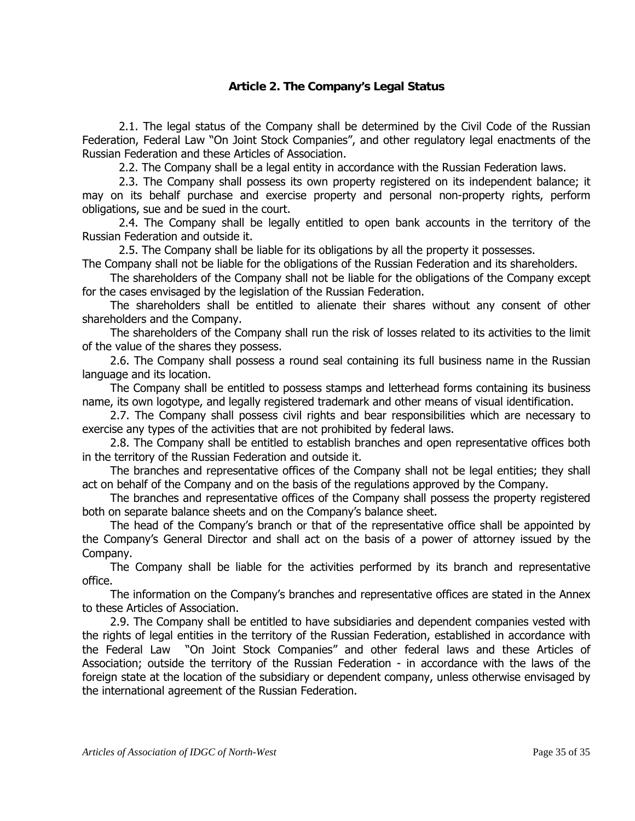# **Article 2. The Company's Legal Status**

2.1. The legal status of the Company shall be determined by the Civil Code of the Russian Federation, Federal Law "On Joint Stock Companies", and other regulatory legal enactments of the Russian Federation and these Articles of Association.

2.2. The Company shall be a legal entity in accordance with the Russian Federation laws.

2.3. The Company shall possess its own property registered on its independent balance; it may on its behalf purchase and exercise property and personal non-property rights, perform obligations, sue and be sued in the court.

2.4. The Company shall be legally entitled to open bank accounts in the territory of the Russian Federation and outside it.

2.5. The Company shall be liable for its obligations by all the property it possesses.

The Company shall not be liable for the obligations of the Russian Federation and its shareholders.

The shareholders of the Company shall not be liable for the obligations of the Company except for the cases envisaged by the legislation of the Russian Federation.

The shareholders shall be entitled to alienate their shares without any consent of other shareholders and the Company.

The shareholders of the Company shall run the risk of losses related to its activities to the limit of the value of the shares they possess.

2.6. The Company shall possess a round seal containing its full business name in the Russian language and its location.

The Company shall be entitled to possess stamps and letterhead forms containing its business name, its own logotype, and legally registered trademark and other means of visual identification.

2.7. The Company shall possess civil rights and bear responsibilities which are necessary to exercise any types of the activities that are not prohibited by federal laws.

2.8. The Company shall be entitled to establish branches and open representative offices both in the territory of the Russian Federation and outside it.

The branches and representative offices of the Company shall not be legal entities; they shall act on behalf of the Company and on the basis of the regulations approved by the Company.

The branches and representative offices of the Company shall possess the property registered both on separate balance sheets and on the Company's balance sheet.

The head of the Company's branch or that of the representative office shall be appointed by the Company's General Director and shall act on the basis of a power of attorney issued by the Company.

The Company shall be liable for the activities performed by its branch and representative office.

The information on the Company's branches and representative offices are stated in the Annex to these Articles of Association.

2.9. The Company shall be entitled to have subsidiaries and dependent companies vested with the rights of legal entities in the territory of the Russian Federation, established in accordance with the Federal Law "On Joint Stock Companies" and other federal laws and these Articles of Association; outside the territory of the Russian Federation - in accordance with the laws of the foreign state at the location of the subsidiary or dependent company, unless otherwise envisaged by the international agreement of the Russian Federation.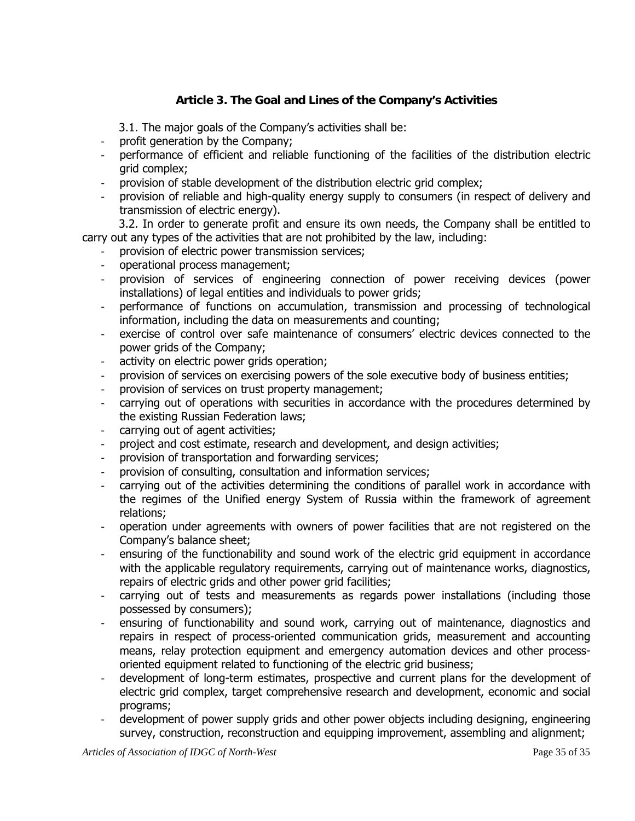# **Article 3. The Goal and Lines of the Company's Activities**

3.1. The major goals of the Company's activities shall be:

- profit generation by the Company;
- performance of efficient and reliable functioning of the facilities of the distribution electric grid complex;
- provision of stable development of the distribution electric grid complex;
- provision of reliable and high-quality energy supply to consumers (in respect of delivery and transmission of electric energy).

3.2. In order to generate profit and ensure its own needs, the Company shall be entitled to carry out any types of the activities that are not prohibited by the law, including:

- provision of electric power transmission services;
- operational process management;
- provision of services of engineering connection of power receiving devices (power installations) of legal entities and individuals to power grids;
- performance of functions on accumulation, transmission and processing of technological information, including the data on measurements and counting;
- exercise of control over safe maintenance of consumers' electric devices connected to the power grids of the Company;
- activity on electric power grids operation;
- provision of services on exercising powers of the sole executive body of business entities;
- provision of services on trust property management;
- carrying out of operations with securities in accordance with the procedures determined by the existing Russian Federation laws;
- carrying out of agent activities;
- project and cost estimate, research and development, and design activities;
- provision of transportation and forwarding services;
- provision of consulting, consultation and information services;
- carrying out of the activities determining the conditions of parallel work in accordance with the regimes of the Unified energy System of Russia within the framework of agreement relations;
- operation under agreements with owners of power facilities that are not registered on the Company's balance sheet;
- ensuring of the functionability and sound work of the electric grid equipment in accordance with the applicable regulatory requirements, carrying out of maintenance works, diagnostics, repairs of electric grids and other power grid facilities;
- carrying out of tests and measurements as regards power installations (including those possessed by consumers);
- ensuring of functionability and sound work, carrying out of maintenance, diagnostics and repairs in respect of process-oriented communication grids, measurement and accounting means, relay protection equipment and emergency automation devices and other processoriented equipment related to functioning of the electric grid business;
- development of long-term estimates, prospective and current plans for the development of electric grid complex, target comprehensive research and development, economic and social programs;
- development of power supply grids and other power objects including designing, engineering survey, construction, reconstruction and equipping improvement, assembling and alignment;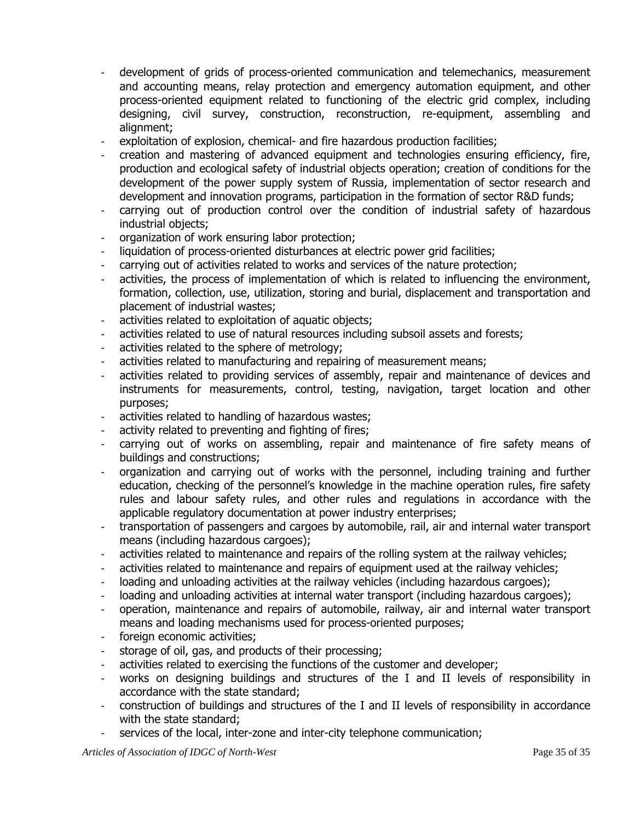- development of grids of process-oriented communication and telemechanics, measurement and accounting means, relay protection and emergency automation equipment, and other process-oriented equipment related to functioning of the electric grid complex, including designing, civil survey, construction, reconstruction, re-equipment, assembling and alignment;
- exploitation of explosion, chemical- and fire hazardous production facilities;
- creation and mastering of advanced equipment and technologies ensuring efficiency, fire, production and ecological safety of industrial objects operation; creation of conditions for the development of the power supply system of Russia, implementation of sector research and development and innovation programs, participation in the formation of sector R&D funds;
- carrying out of production control over the condition of industrial safety of hazardous industrial objects;
- organization of work ensuring labor protection;
- liquidation of process-oriented disturbances at electric power grid facilities;
- carrying out of activities related to works and services of the nature protection;
- activities, the process of implementation of which is related to influencing the environment, formation, collection, use, utilization, storing and burial, displacement and transportation and placement of industrial wastes;
- activities related to exploitation of aquatic objects;
- activities related to use of natural resources including subsoil assets and forests;
- activities related to the sphere of metrology;
- activities related to manufacturing and repairing of measurement means;
- activities related to providing services of assembly, repair and maintenance of devices and instruments for measurements, control, testing, navigation, target location and other purposes;
- activities related to handling of hazardous wastes;
- activity related to preventing and fighting of fires;
- carrying out of works on assembling, repair and maintenance of fire safety means of buildings and constructions;
- organization and carrying out of works with the personnel, including training and further education, checking of the personnel's knowledge in the machine operation rules, fire safety rules and labour safety rules, and other rules and regulations in accordance with the applicable regulatory documentation at power industry enterprises;
- transportation of passengers and cargoes by automobile, rail, air and internal water transport means (including hazardous cargoes);
- activities related to maintenance and repairs of the rolling system at the railway vehicles;
- activities related to maintenance and repairs of equipment used at the railway vehicles;
- loading and unloading activities at the railway vehicles (including hazardous cargoes);
- loading and unloading activities at internal water transport (including hazardous cargoes);
- operation, maintenance and repairs of automobile, railway, air and internal water transport means and loading mechanisms used for process-oriented purposes;
- foreign economic activities;
- storage of oil, gas, and products of their processing;
- activities related to exercising the functions of the customer and developer;
- works on designing buildings and structures of the I and II levels of responsibility in accordance with the state standard;
- construction of buildings and structures of the I and II levels of responsibility in accordance with the state standard;
- services of the local, inter-zone and inter-city telephone communication;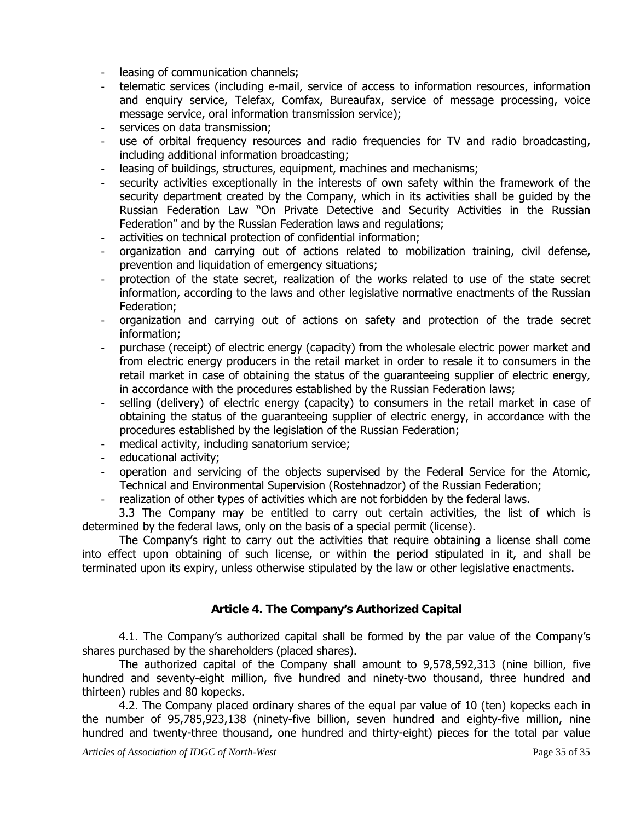- leasing of communication channels;
- telematic services (including e-mail, service of access to information resources, information and enquiry service, Telefax, Comfax, Bureaufax, service of message processing, voice message service, oral information transmission service);
- services on data transmission;
- use of orbital frequency resources and radio frequencies for TV and radio broadcasting, including additional information broadcasting;
- leasing of buildings, structures, equipment, machines and mechanisms;
- security activities exceptionally in the interests of own safety within the framework of the security department created by the Company, which in its activities shall be guided by the Russian Federation Law "On Private Detective and Security Activities in the Russian Federation" and by the Russian Federation laws and regulations;
- activities on technical protection of confidential information;
- organization and carrying out of actions related to mobilization training, civil defense, prevention and liquidation of emergency situations;
- protection of the state secret, realization of the works related to use of the state secret information, according to the laws and other legislative normative enactments of the Russian Federation;
- organization and carrying out of actions on safety and protection of the trade secret information;
- purchase (receipt) of electric energy (capacity) from the wholesale electric power market and from electric energy producers in the retail market in order to resale it to consumers in the retail market in case of obtaining the status of the guaranteeing supplier of electric energy, in accordance with the procedures established by the Russian Federation laws;
- selling (delivery) of electric energy (capacity) to consumers in the retail market in case of obtaining the status of the guaranteeing supplier of electric energy, in accordance with the procedures established by the legislation of the Russian Federation;
- medical activity, including sanatorium service;
- educational activity;
- operation and servicing of the objects supervised by the Federal Service for the Atomic, Technical and Environmental Supervision (Rostehnadzor) of the Russian Federation;
- realization of other types of activities which are not forbidden by the federal laws.

3.3 The Company may be entitled to carry out certain activities, the list of which is determined by the federal laws, only on the basis of a special permit (license).

The Company's right to carry out the activities that require obtaining a license shall come into effect upon obtaining of such license, or within the period stipulated in it, and shall be terminated upon its expiry, unless otherwise stipulated by the law or other legislative enactments.

# **Article 4. The Company's Authorized Capital**

4.1. The Company's authorized capital shall be formed by the par value of the Company's shares purchased by the shareholders (placed shares).

The authorized capital of the Company shall amount to 9,578,592,313 (nine billion, five hundred and seventy-eight million, five hundred and ninety-two thousand, three hundred and thirteen) rubles and 80 kopecks.

4.2. The Company placed ordinary shares of the equal par value of 10 (ten) kopecks each in the number of 95,785,923,138 (ninety-five billion, seven hundred and eighty-five million, nine hundred and twenty-three thousand, one hundred and thirty-eight) pieces for the total par value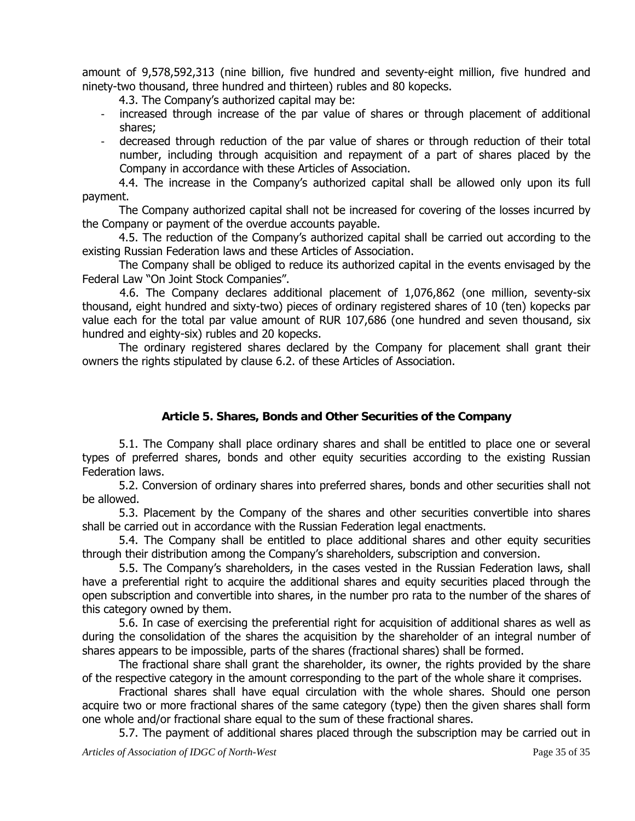amount of 9,578,592,313 (nine billion, five hundred and seventy-eight million, five hundred and ninety-two thousand, three hundred and thirteen) rubles and 80 kopecks.

4.3. The Company's authorized capital may be:

- increased through increase of the par value of shares or through placement of additional shares;
- decreased through reduction of the par value of shares or through reduction of their total number, including through acquisition and repayment of a part of shares placed by the Company in accordance with these Articles of Association.

4.4. The increase in the Company's authorized capital shall be allowed only upon its full payment.

The Company authorized capital shall not be increased for covering of the losses incurred by the Company or payment of the overdue accounts payable.

4.5. The reduction of the Company's authorized capital shall be carried out according to the existing Russian Federation laws and these Articles of Association.

The Company shall be obliged to reduce its authorized capital in the events envisaged by the Federal Law "On Joint Stock Companies".

4.6. The Company declares additional placement of 1,076,862 (one million, seventy-six thousand, eight hundred and sixty-two) pieces of ordinary registered shares of 10 (ten) kopecks par value each for the total par value amount of RUR 107,686 (one hundred and seven thousand, six hundred and eighty-six) rubles and 20 kopecks.

The ordinary registered shares declared by the Company for placement shall grant their owners the rights stipulated by clause 6.2. of these Articles of Association.

## **Article 5. Shares, Bonds and Other Securities of the Company**

5.1. The Company shall place ordinary shares and shall be entitled to place one or several types of preferred shares, bonds and other equity securities according to the existing Russian Federation laws.

5.2. Conversion of ordinary shares into preferred shares, bonds and other securities shall not be allowed.

5.3. Placement by the Company of the shares and other securities convertible into shares shall be carried out in accordance with the Russian Federation legal enactments.

5.4. The Company shall be entitled to place additional shares and other equity securities through their distribution among the Company's shareholders, subscription and conversion.

5.5. The Company's shareholders, in the cases vested in the Russian Federation laws, shall have a preferential right to acquire the additional shares and equity securities placed through the open subscription and convertible into shares, in the number pro rata to the number of the shares of this category owned by them.

5.6. In case of exercising the preferential right for acquisition of additional shares as well as during the consolidation of the shares the acquisition by the shareholder of an integral number of shares appears to be impossible, parts of the shares (fractional shares) shall be formed.

The fractional share shall grant the shareholder, its owner, the rights provided by the share of the respective category in the amount corresponding to the part of the whole share it comprises.

Fractional shares shall have equal circulation with the whole shares. Should one person acquire two or more fractional shares of the same category (type) then the given shares shall form one whole and/or fractional share equal to the sum of these fractional shares.

5.7. The payment of additional shares placed through the subscription may be carried out in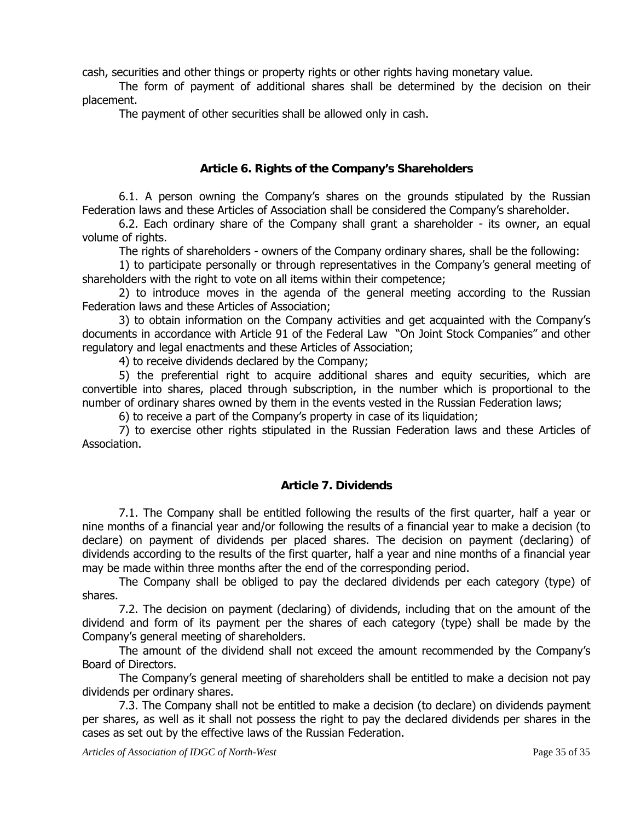cash, securities and other things or property rights or other rights having monetary value.

The form of payment of additional shares shall be determined by the decision on their placement.

The payment of other securities shall be allowed only in cash.

# **Article 6. Rights of the Company's Shareholders**

6.1. A person owning the Company's shares on the grounds stipulated by the Russian Federation laws and these Articles of Association shall be considered the Company's shareholder.

6.2. Each ordinary share of the Company shall grant a shareholder - its owner, an equal volume of rights.

The rights of shareholders - owners of the Company ordinary shares, shall be the following:

1) to participate personally or through representatives in the Company's general meeting of shareholders with the right to vote on all items within their competence;

2) to introduce moves in the agenda of the general meeting according to the Russian Federation laws and these Articles of Association;

3) to obtain information on the Company activities and get acquainted with the Company's documents in accordance with Article 91 of the Federal Law "On Joint Stock Companies" and other regulatory and legal enactments and these Articles of Association;

4) to receive dividends declared by the Company;

5) the preferential right to acquire additional shares and equity securities, which are convertible into shares, placed through subscription, in the number which is proportional to the number of ordinary shares owned by them in the events vested in the Russian Federation laws;

6) to receive a part of the Company's property in case of its liquidation;

7) to exercise other rights stipulated in the Russian Federation laws and these Articles of Association.

# **Article 7. Dividends**

7.1. The Company shall be entitled following the results of the first quarter, half a year or nine months of a financial year and/or following the results of a financial year to make a decision (to declare) on payment of dividends per placed shares. The decision on payment (declaring) of dividends according to the results of the first quarter, half a year and nine months of a financial year may be made within three months after the end of the corresponding period.

The Company shall be obliged to pay the declared dividends per each category (type) of shares.

7.2. The decision on payment (declaring) of dividends, including that on the amount of the dividend and form of its payment per the shares of each category (type) shall be made by the Company's general meeting of shareholders.

The amount of the dividend shall not exceed the amount recommended by the Company's Board of Directors.

The Company's general meeting of shareholders shall be entitled to make a decision not pay dividends per ordinary shares.

7.3. The Company shall not be entitled to make a decision (to declare) on dividends payment per shares, as well as it shall not possess the right to pay the declared dividends per shares in the cases as set out by the effective laws of the Russian Federation.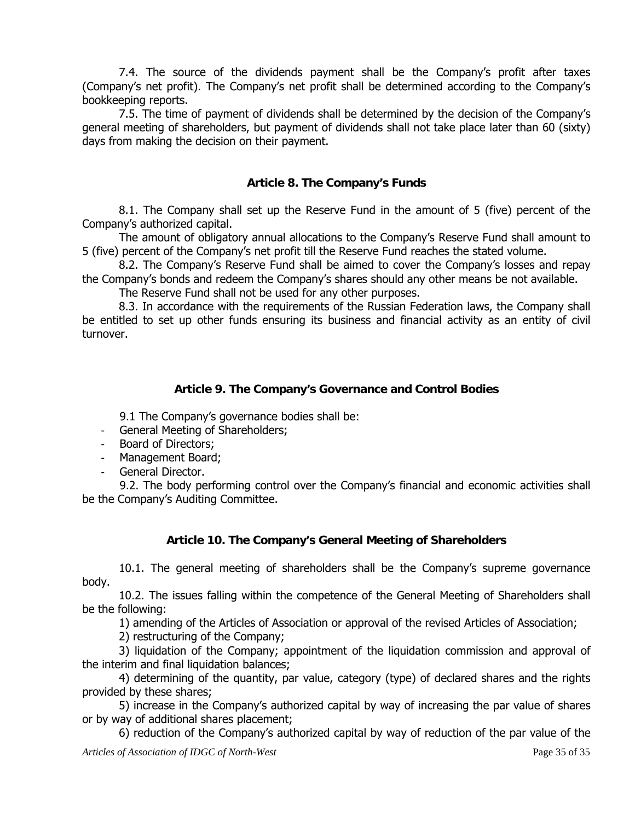7.4. The source of the dividends payment shall be the Company's profit after taxes (Company's net profit). The Company's net profit shall be determined according to the Company's bookkeeping reports.

7.5. The time of payment of dividends shall be determined by the decision of the Company's general meeting of shareholders, but payment of dividends shall not take place later than 60 (sixty) days from making the decision on their payment.

## **Article 8. The Company's Funds**

8.1. The Company shall set up the Reserve Fund in the amount of 5 (five) percent of the Company's authorized capital.

The amount of obligatory annual allocations to the Company's Reserve Fund shall amount to 5 (five) percent of the Company's net profit till the Reserve Fund reaches the stated volume.

8.2. The Company's Reserve Fund shall be aimed to cover the Company's losses and repay the Company's bonds and redeem the Company's shares should any other means be not available.

The Reserve Fund shall not be used for any other purposes.

8.3. In accordance with the requirements of the Russian Federation laws, the Company shall be entitled to set up other funds ensuring its business and financial activity as an entity of civil turnover.

## **Article 9. The Company's Governance and Control Bodies**

9.1 The Company's governance bodies shall be:

- General Meeting of Shareholders;
- Board of Directors;
- Management Board;
- General Director.

9.2. The body performing control over the Company's financial and economic activities shall be the Company's Auditing Committee.

#### **Article 10. The Company's General Meeting of Shareholders**

10.1. The general meeting of shareholders shall be the Company's supreme governance body.

10.2. The issues falling within the competence of the General Meeting of Shareholders shall be the following:

1) amending of the Articles of Association or approval of the revised Articles of Association;

2) restructuring of the Company;

3) liquidation of the Company; appointment of the liquidation commission and approval of the interim and final liquidation balances;

4) determining of the quantity, par value, category (type) of declared shares and the rights provided by these shares;

5) increase in the Company's authorized capital by way of increasing the par value of shares or by way of additional shares placement;

6) reduction of the Company's authorized capital by way of reduction of the par value of the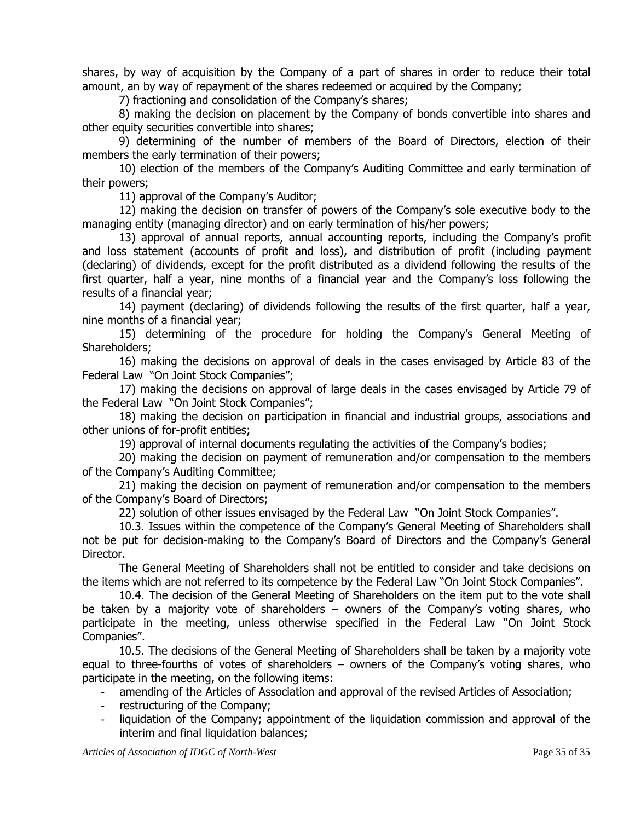shares, by way of acquisition by the Company of a part of shares in order to reduce their total amount, an by way of repayment of the shares redeemed or acquired by the Company;

7) fractioning and consolidation of the Company's shares;

8) making the decision on placement by the Company of bonds convertible into shares and other equity securities convertible into shares;

9) determining of the number of members of the Board of Directors, election of their members the early termination of their powers;

10) election of the members of the Company's Auditing Committee and early termination of their powers;

11) approval of the Company's Auditor;

12) making the decision on transfer of powers of the Company's sole executive body to the managing entity (managing director) and on early termination of his/her powers;

13) approval of annual reports, annual accounting reports, including the Company's profit and loss statement (accounts of profit and loss), and distribution of profit (including payment (declaring) of dividends, except for the profit distributed as a dividend following the results of the first quarter, half a year, nine months of a financial year and the Company's loss following the results of a financial year;

14) payment (declaring) of dividends following the results of the first quarter, half a year, nine months of a financial year;

15) determining of the procedure for holding the Company's General Meeting of Shareholders;

16) making the decisions on approval of deals in the cases envisaged by Article 83 of the Federal Law "On Joint Stock Companies";

17) making the decisions on approval of large deals in the cases envisaged by Article 79 of the Federal Law "On Joint Stock Companies";

18) making the decision on participation in financial and industrial groups, associations and other unions of for-profit entities;

19) approval of internal documents regulating the activities of the Company's bodies;

20) making the decision on payment of remuneration and/or compensation to the members of the Company's Auditing Committee;

21) making the decision on payment of remuneration and/or compensation to the members of the Company's Board of Directors;

22) solution of other issues envisaged by the Federal Law "On Joint Stock Companies".

10.3. Issues within the competence of the Company's General Meeting of Shareholders shall not be put for decision-making to the Company's Board of Directors and the Company's General Director.

The General Meeting of Shareholders shall not be entitled to consider and take decisions on the items which are not referred to its competence by the Federal Law "On Joint Stock Companies".

10.4. The decision of the General Meeting of Shareholders on the item put to the vote shall be taken by a majority vote of shareholders – owners of the Company's voting shares, who participate in the meeting, unless otherwise specified in the Federal Law "On Joint Stock Companies".

10.5. The decisions of the General Meeting of Shareholders shall be taken by a majority vote equal to three-fourths of votes of shareholders – owners of the Company's voting shares, who participate in the meeting, on the following items:

amending of the Articles of Association and approval of the revised Articles of Association;

- restructuring of the Company;
- liquidation of the Company; appointment of the liquidation commission and approval of the interim and final liquidation balances;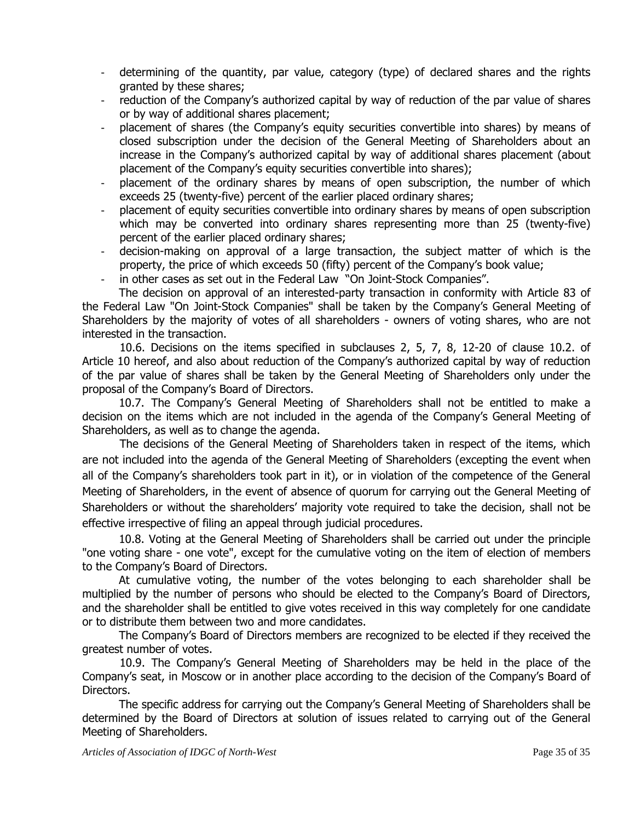- determining of the quantity, par value, category (type) of declared shares and the rights granted by these shares;
- reduction of the Company's authorized capital by way of reduction of the par value of shares or by way of additional shares placement;
- placement of shares (the Company's equity securities convertible into shares) by means of closed subscription under the decision of the General Meeting of Shareholders about an increase in the Company's authorized capital by way of additional shares placement (about placement of the Company's equity securities convertible into shares);
- placement of the ordinary shares by means of open subscription, the number of which exceeds 25 (twenty-five) percent of the earlier placed ordinary shares;
- placement of equity securities convertible into ordinary shares by means of open subscription which may be converted into ordinary shares representing more than 25 (twenty-five) percent of the earlier placed ordinary shares;
- decision-making on approval of a large transaction, the subject matter of which is the property, the price of which exceeds 50 (fifty) percent of the Company's book value;
- in other cases as set out in the Federal Law "On Joint-Stock Companies".

The decision on approval of an interested-party transaction in conformity with Article 83 of the Federal Law "On Joint-Stock Companies" shall be taken by the Company's General Meeting of Shareholders by the majority of votes of all shareholders - owners of voting shares, who are not interested in the transaction.

10.6. Decisions on the items specified in subclauses 2, 5, 7, 8, 12-20 of clause 10.2. of Article 10 hereof, and also about reduction of the Company's authorized capital by way of reduction of the par value of shares shall be taken by the General Meeting of Shareholders only under the proposal of the Company's Board of Directors.

10.7. The Company's General Meeting of Shareholders shall not be entitled to make a decision on the items which are not included in the agenda of the Company's General Meeting of Shareholders, as well as to change the agenda.

The decisions of the General Meeting of Shareholders taken in respect of the items, which are not included into the agenda of the General Meeting of Shareholders (excepting the event when all of the Company's shareholders took part in it), or in violation of the competence of the General Meeting of Shareholders, in the event of absence of quorum for carrying out the General Meeting of Shareholders or without the shareholders' majority vote required to take the decision, shall not be effective irrespective of filing an appeal through judicial procedures.

10.8. Voting at the General Meeting of Shareholders shall be carried out under the principle "one voting share - one vote", except for the cumulative voting on the item of election of members to the Company's Board of Directors.

 At cumulative voting, the number of the votes belonging to each shareholder shall be multiplied by the number of persons who should be elected to the Company's Board of Directors, and the shareholder shall be entitled to give votes received in this way completely for one candidate or to distribute them between two and more candidates.

The Company's Board of Directors members are recognized to be elected if they received the greatest number of votes.

10.9. The Company's General Meeting of Shareholders may be held in the place of the Company's seat, in Moscow or in another place according to the decision of the Company's Board of Directors.

 The specific address for carrying out the Company's General Meeting of Shareholders shall be determined by the Board of Directors at solution of issues related to carrying out of the General Meeting of Shareholders.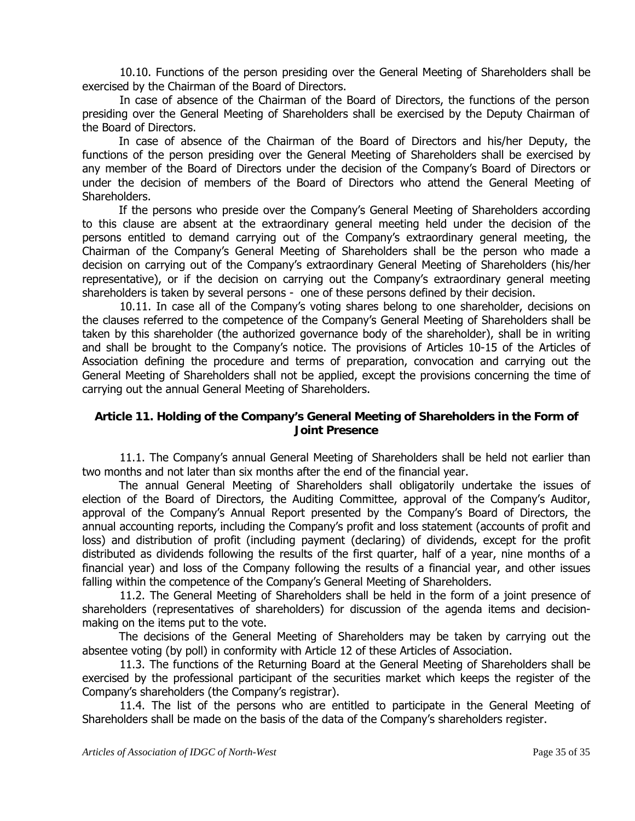10.10. Functions of the person presiding over the General Meeting of Shareholders shall be exercised by the Chairman of the Board of Directors.

In case of absence of the Chairman of the Board of Directors, the functions of the person presiding over the General Meeting of Shareholders shall be exercised by the Deputy Chairman of the Board of Directors.

 In case of absence of the Chairman of the Board of Directors and his/her Deputy, the functions of the person presiding over the General Meeting of Shareholders shall be exercised by any member of the Board of Directors under the decision of the Company's Board of Directors or under the decision of members of the Board of Directors who attend the General Meeting of Shareholders.

 If the persons who preside over the Company's General Meeting of Shareholders according to this clause are absent at the extraordinary general meeting held under the decision of the persons entitled to demand carrying out of the Company's extraordinary general meeting, the Chairman of the Company's General Meeting of Shareholders shall be the person who made a decision on carrying out of the Company's extraordinary General Meeting of Shareholders (his/her representative), or if the decision on carrying out the Company's extraordinary general meeting shareholders is taken by several persons - one of these persons defined by their decision.

10.11. In case all of the Company's voting shares belong to one shareholder, decisions on the clauses referred to the competence of the Company's General Meeting of Shareholders shall be taken by this shareholder (the authorized governance body of the shareholder), shall be in writing and shall be brought to the Company's notice. The provisions of Articles 10-15 of the Articles of Association defining the procedure and terms of preparation, convocation and carrying out the General Meeting of Shareholders shall not be applied, except the provisions concerning the time of carrying out the annual General Meeting of Shareholders.

#### **Article 11. Holding of the Company's General Meeting of Shareholders in the Form of Joint Presence**

 11.1. The Company's annual General Meeting of Shareholders shall be held not earlier than two months and not later than six months after the end of the financial year.

The annual General Meeting of Shareholders shall obligatorily undertake the issues of election of the Board of Directors, the Auditing Committee, approval of the Company's Auditor, approval of the Company's Annual Report presented by the Company's Board of Directors, the annual accounting reports, including the Company's profit and loss statement (accounts of profit and loss) and distribution of profit (including payment (declaring) of dividends, except for the profit distributed as dividends following the results of the first quarter, half of a year, nine months of a financial year) and loss of the Company following the results of a financial year, and other issues falling within the competence of the Company's General Meeting of Shareholders.

 11.2. The General Meeting of Shareholders shall be held in the form of a joint presence of shareholders (representatives of shareholders) for discussion of the agenda items and decisionmaking on the items put to the vote.

The decisions of the General Meeting of Shareholders may be taken by carrying out the absentee voting (by poll) in conformity with Article 12 of these Articles of Association.

 11.3. The functions of the Returning Board at the General Meeting of Shareholders shall be exercised by the professional participant of the securities market which keeps the register of the Company's shareholders (the Company's registrar).

 11.4. The list of the persons who are entitled to participate in the General Meeting of Shareholders shall be made on the basis of the data of the Company's shareholders register.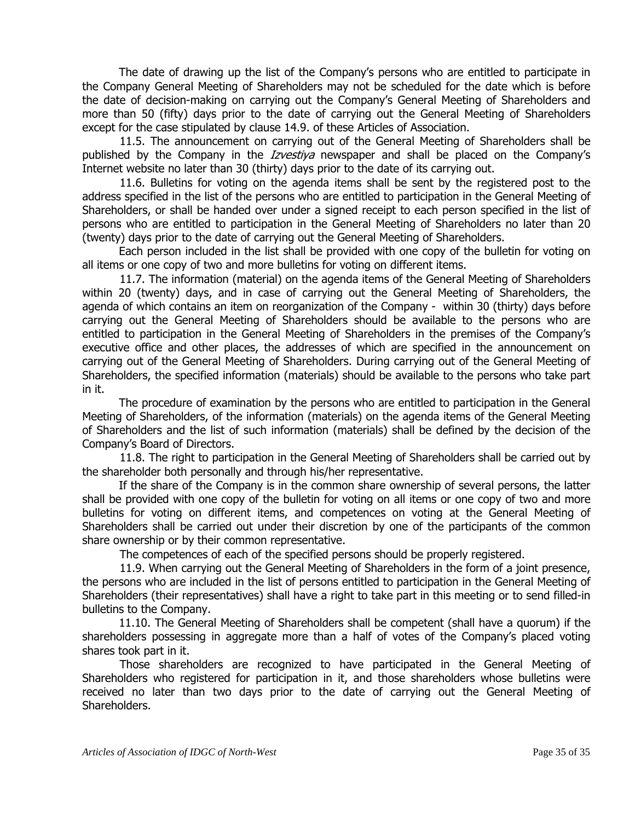The date of drawing up the list of the Company's persons who are entitled to participate in the Company General Meeting of Shareholders may not be scheduled for the date which is before the date of decision-making on carrying out the Company's General Meeting of Shareholders and more than 50 (fifty) days prior to the date of carrying out the General Meeting of Shareholders except for the case stipulated by clause 14.9. of these Articles of Association.

 11.5. The announcement on carrying out of the General Meeting of Shareholders shall be published by the Company in the *Izvestiya* newspaper and shall be placed on the Company's Internet website no later than 30 (thirty) days prior to the date of its carrying out.

 11.6. Bulletins for voting on the agenda items shall be sent by the registered post to the address specified in the list of the persons who are entitled to participation in the General Meeting of Shareholders, or shall be handed over under a signed receipt to each person specified in the list of persons who are entitled to participation in the General Meeting of Shareholders no later than 20 (twenty) days prior to the date of carrying out the General Meeting of Shareholders.

Each person included in the list shall be provided with one copy of the bulletin for voting on all items or one copy of two and more bulletins for voting on different items.

 11.7. The information (material) on the agenda items of the General Meeting of Shareholders within 20 (twenty) days, and in case of carrying out the General Meeting of Shareholders, the agenda of which contains an item on reorganization of the Company - within 30 (thirty) days before carrying out the General Meeting of Shareholders should be available to the persons who are entitled to participation in the General Meeting of Shareholders in the premises of the Company's executive office and other places, the addresses of which are specified in the announcement on carrying out of the General Meeting of Shareholders. During carrying out of the General Meeting of Shareholders, the specified information (materials) should be available to the persons who take part in it.

The procedure of examination by the persons who are entitled to participation in the General Meeting of Shareholders, of the information (materials) on the agenda items of the General Meeting of Shareholders and the list of such information (materials) shall be defined by the decision of the Company's Board of Directors.

 11.8. The right to participation in the General Meeting of Shareholders shall be carried out by the shareholder both personally and through his/her representative.

If the share of the Company is in the common share ownership of several persons, the latter shall be provided with one copy of the bulletin for voting on all items or one copy of two and more bulletins for voting on different items, and competences on voting at the General Meeting of Shareholders shall be carried out under their discretion by one of the participants of the common share ownership or by their common representative.

The competences of each of the specified persons should be properly registered.

 11.9. When carrying out the General Meeting of Shareholders in the form of a joint presence, the persons who are included in the list of persons entitled to participation in the General Meeting of Shareholders (their representatives) shall have a right to take part in this meeting or to send filled-in bulletins to the Company.

11.10. The General Meeting of Shareholders shall be competent (shall have a quorum) if the shareholders possessing in aggregate more than a half of votes of the Company's placed voting shares took part in it.

 Those shareholders are recognized to have participated in the General Meeting of Shareholders who registered for participation in it, and those shareholders whose bulletins were received no later than two days prior to the date of carrying out the General Meeting of Shareholders.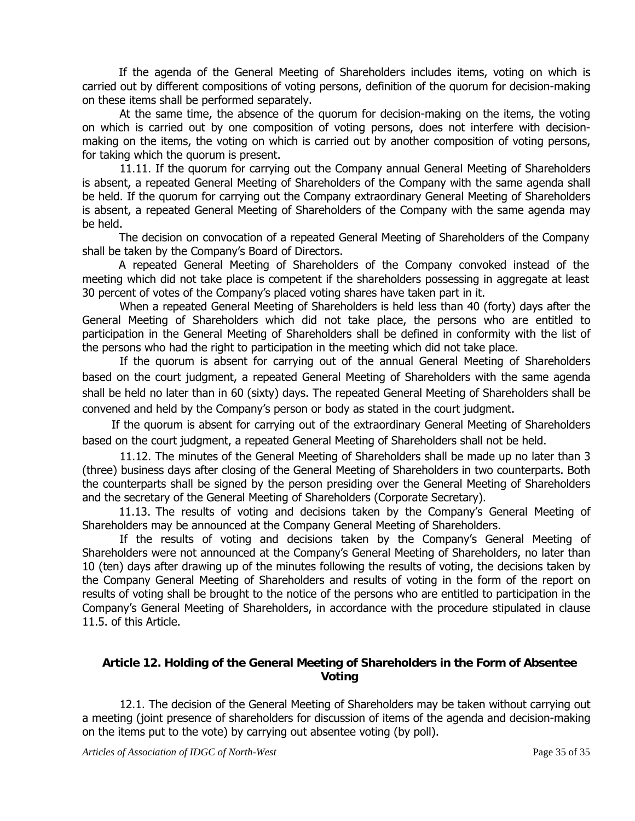If the agenda of the General Meeting of Shareholders includes items, voting on which is carried out by different compositions of voting persons, definition of the quorum for decision-making on these items shall be performed separately.

At the same time, the absence of the quorum for decision-making on the items, the voting on which is carried out by one composition of voting persons, does not interfere with decisionmaking on the items, the voting on which is carried out by another composition of voting persons, for taking which the quorum is present.

 11.11. If the quorum for carrying out the Company annual General Meeting of Shareholders is absent, a repeated General Meeting of Shareholders of the Company with the same agenda shall be held. If the quorum for carrying out the Company extraordinary General Meeting of Shareholders is absent, a repeated General Meeting of Shareholders of the Company with the same agenda may be held.

The decision on convocation of a repeated General Meeting of Shareholders of the Company shall be taken by the Company's Board of Directors.

A repeated General Meeting of Shareholders of the Company convoked instead of the meeting which did not take place is competent if the shareholders possessing in aggregate at least 30 percent of votes of the Company's placed voting shares have taken part in it.

When a repeated General Meeting of Shareholders is held less than 40 (forty) days after the General Meeting of Shareholders which did not take place, the persons who are entitled to participation in the General Meeting of Shareholders shall be defined in conformity with the list of the persons who had the right to participation in the meeting which did not take place.

If the quorum is absent for carrying out of the annual General Meeting of Shareholders based on the court judgment, a repeated General Meeting of Shareholders with the same agenda shall be held no later than in 60 (sixty) days. The repeated General Meeting of Shareholders shall be convened and held by the Company's person or body as stated in the court judgment.

If the quorum is absent for carrying out of the extraordinary General Meeting of Shareholders based on the court judgment, a repeated General Meeting of Shareholders shall not be held.

 11.12. The minutes of the General Meeting of Shareholders shall be made up no later than 3 (three) business days after closing of the General Meeting of Shareholders in two counterparts. Both the counterparts shall be signed by the person presiding over the General Meeting of Shareholders and the secretary of the General Meeting of Shareholders (Corporate Secretary).

11.13. The results of voting and decisions taken by the Company's General Meeting of Shareholders may be announced at the Company General Meeting of Shareholders.

If the results of voting and decisions taken by the Company's General Meeting of Shareholders were not announced at the Company's General Meeting of Shareholders, no later than 10 (ten) days after drawing up of the minutes following the results of voting, the decisions taken by the Company General Meeting of Shareholders and results of voting in the form of the report on results of voting shall be brought to the notice of the persons who are entitled to participation in the Company's General Meeting of Shareholders, in accordance with the procedure stipulated in clause 11.5. of this Article.

#### **Article 12. Holding of the General Meeting of Shareholders in the Form of Absentee Voting**

 12.1. The decision of the General Meeting of Shareholders may be taken without carrying out a meeting (joint presence of shareholders for discussion of items of the agenda and decision-making on the items put to the vote) by carrying out absentee voting (by poll).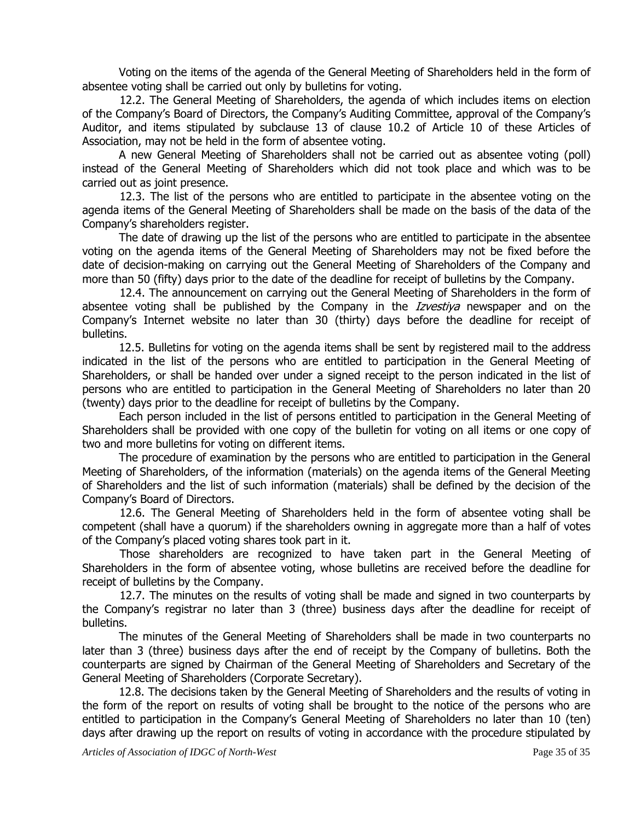Voting on the items of the agenda of the General Meeting of Shareholders held in the form of absentee voting shall be carried out only by bulletins for voting.

 12.2. The General Meeting of Shareholders, the agenda of which includes items on election of the Company's Board of Directors, the Company's Auditing Committee, approval of the Company's Auditor, and items stipulated by subclause 13 of clause 10.2 of Article 10 of these Articles of Association, may not be held in the form of absentee voting.

A new General Meeting of Shareholders shall not be carried out as absentee voting (poll) instead of the General Meeting of Shareholders which did not took place and which was to be carried out as joint presence.

 12.3. The list of the persons who are entitled to participate in the absentee voting on the agenda items of the General Meeting of Shareholders shall be made on the basis of the data of the Company's shareholders register.

The date of drawing up the list of the persons who are entitled to participate in the absentee voting on the agenda items of the General Meeting of Shareholders may not be fixed before the date of decision-making on carrying out the General Meeting of Shareholders of the Company and more than 50 (fifty) days prior to the date of the deadline for receipt of bulletins by the Company.

 12.4. The announcement on carrying out the General Meeting of Shareholders in the form of absentee voting shall be published by the Company in the *Izvestiya* newspaper and on the Company's Internet website no later than 30 (thirty) days before the deadline for receipt of bulletins.

12.5. Bulletins for voting on the agenda items shall be sent by registered mail to the address indicated in the list of the persons who are entitled to participation in the General Meeting of Shareholders, or shall be handed over under a signed receipt to the person indicated in the list of persons who are entitled to participation in the General Meeting of Shareholders no later than 20 (twenty) days prior to the deadline for receipt of bulletins by the Company.

Each person included in the list of persons entitled to participation in the General Meeting of Shareholders shall be provided with one copy of the bulletin for voting on all items or one copy of two and more bulletins for voting on different items.

The procedure of examination by the persons who are entitled to participation in the General Meeting of Shareholders, of the information (materials) on the agenda items of the General Meeting of Shareholders and the list of such information (materials) shall be defined by the decision of the Company's Board of Directors.

 12.6. The General Meeting of Shareholders held in the form of absentee voting shall be competent (shall have a quorum) if the shareholders owning in aggregate more than a half of votes of the Company's placed voting shares took part in it.

Those shareholders are recognized to have taken part in the General Meeting of Shareholders in the form of absentee voting, whose bulletins are received before the deadline for receipt of bulletins by the Company.

 12.7. The minutes on the results of voting shall be made and signed in two counterparts by the Company's registrar no later than 3 (three) business days after the deadline for receipt of bulletins.

The minutes of the General Meeting of Shareholders shall be made in two counterparts no later than 3 (three) business days after the end of receipt by the Company of bulletins. Both the counterparts are signed by Chairman of the General Meeting of Shareholders and Secretary of the General Meeting of Shareholders (Corporate Secretary).

12.8. The decisions taken by the General Meeting of Shareholders and the results of voting in the form of the report on results of voting shall be brought to the notice of the persons who are entitled to participation in the Company's General Meeting of Shareholders no later than 10 (ten) days after drawing up the report on results of voting in accordance with the procedure stipulated by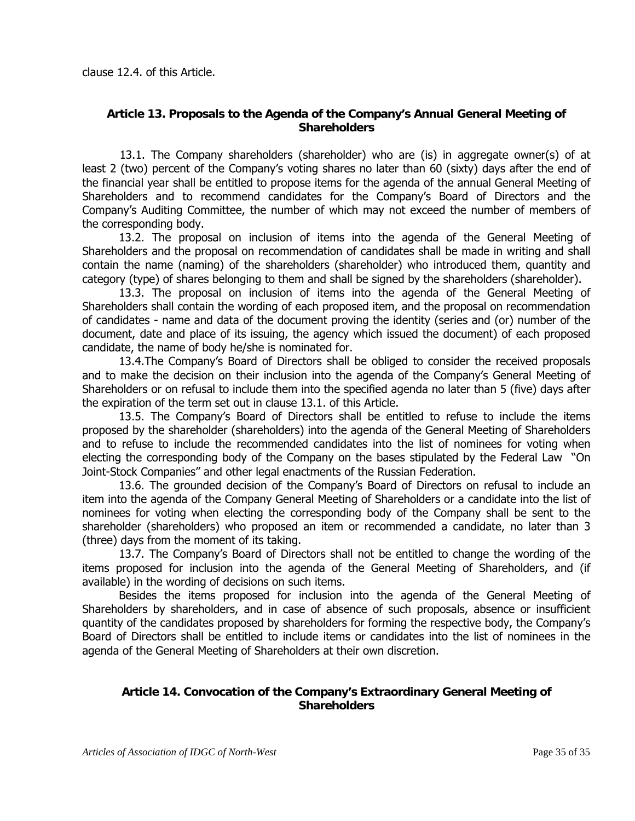#### **Article 13. Proposals to the Agenda of the Company's Annual General Meeting of Shareholders**

 13.1. The Company shareholders (shareholder) who are (is) in aggregate owner(s) of at least 2 (two) percent of the Company's voting shares no later than 60 (sixty) days after the end of the financial year shall be entitled to propose items for the agenda of the annual General Meeting of Shareholders and to recommend candidates for the Company's Board of Directors and the Company's Auditing Committee, the number of which may not exceed the number of members of the corresponding body.

13.2. The proposal on inclusion of items into the agenda of the General Meeting of Shareholders and the proposal on recommendation of candidates shall be made in writing and shall contain the name (naming) of the shareholders (shareholder) who introduced them, quantity and category (type) of shares belonging to them and shall be signed by the shareholders (shareholder).

13.3. The proposal on inclusion of items into the agenda of the General Meeting of Shareholders shall contain the wording of each proposed item, and the proposal on recommendation of candidates - name and data of the document proving the identity (series and (or) number of the document, date and place of its issuing, the agency which issued the document) of each proposed candidate, the name of body he/she is nominated for.

13.4.The Company's Board of Directors shall be obliged to consider the received proposals and to make the decision on their inclusion into the agenda of the Company's General Meeting of Shareholders or on refusal to include them into the specified agenda no later than 5 (five) days after the expiration of the term set out in clause 13.1. of this Article.

13.5. The Company's Board of Directors shall be entitled to refuse to include the items proposed by the shareholder (shareholders) into the agenda of the General Meeting of Shareholders and to refuse to include the recommended candidates into the list of nominees for voting when electing the corresponding body of the Company on the bases stipulated by the Federal Law "On Joint-Stock Companies" and other legal enactments of the Russian Federation.

13.6. The grounded decision of the Company's Board of Directors on refusal to include an item into the agenda of the Company General Meeting of Shareholders or a candidate into the list of nominees for voting when electing the corresponding body of the Company shall be sent to the shareholder (shareholders) who proposed an item or recommended a candidate, no later than 3 (three) days from the moment of its taking.

13.7. The Company's Board of Directors shall not be entitled to change the wording of the items proposed for inclusion into the agenda of the General Meeting of Shareholders, and (if available) in the wording of decisions on such items.

Besides the items proposed for inclusion into the agenda of the General Meeting of Shareholders by shareholders, and in case of absence of such proposals, absence or insufficient quantity of the candidates proposed by shareholders for forming the respective body, the Company's Board of Directors shall be entitled to include items or candidates into the list of nominees in the agenda of the General Meeting of Shareholders at their own discretion.

## **Article 14. Convocation of the Company's Extraordinary General Meeting of Shareholders**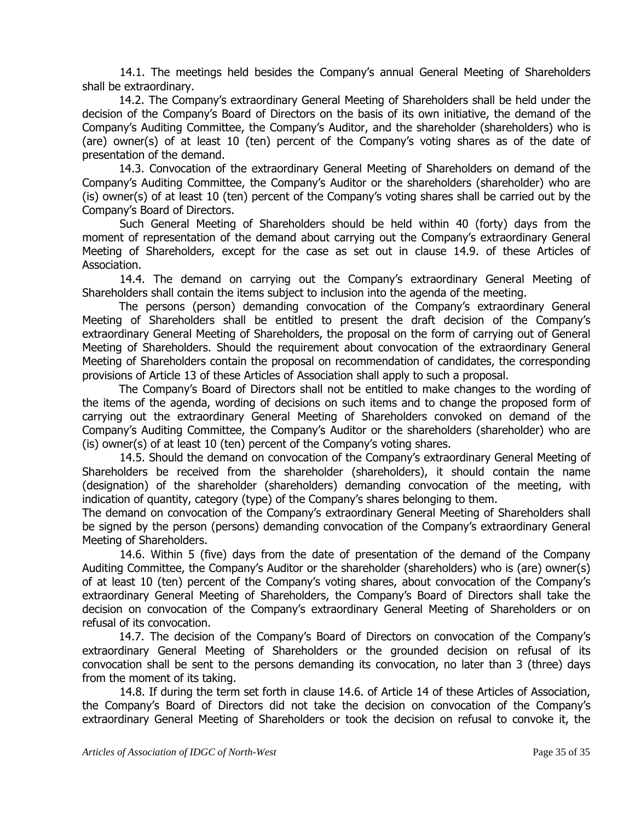14.1. The meetings held besides the Company's annual General Meeting of Shareholders shall be extraordinary.

14.2. The Company's extraordinary General Meeting of Shareholders shall be held under the decision of the Company's Board of Directors on the basis of its own initiative, the demand of the Company's Auditing Committee, the Company's Auditor, and the shareholder (shareholders) who is (are) owner(s) of at least 10 (ten) percent of the Company's voting shares as of the date of presentation of the demand.

14.3. Convocation of the extraordinary General Meeting of Shareholders on demand of the Company's Auditing Committee, the Company's Auditor or the shareholders (shareholder) who are (is) owner(s) of at least 10 (ten) percent of the Company's voting shares shall be carried out by the Company's Board of Directors.

Such General Meeting of Shareholders should be held within 40 (forty) days from the moment of representation of the demand about carrying out the Company's extraordinary General Meeting of Shareholders, except for the case as set out in clause 14.9. of these Articles of Association.

 14.4. The demand on carrying out the Company's extraordinary General Meeting of Shareholders shall contain the items subject to inclusion into the agenda of the meeting.

The persons (person) demanding convocation of the Company's extraordinary General Meeting of Shareholders shall be entitled to present the draft decision of the Company's extraordinary General Meeting of Shareholders, the proposal on the form of carrying out of General Meeting of Shareholders. Should the requirement about convocation of the extraordinary General Meeting of Shareholders contain the proposal on recommendation of candidates, the corresponding provisions of Article 13 of these Articles of Association shall apply to such a proposal.

The Company's Board of Directors shall not be entitled to make changes to the wording of the items of the agenda, wording of decisions on such items and to change the proposed form of carrying out the extraordinary General Meeting of Shareholders convoked on demand of the Company's Auditing Committee, the Company's Auditor or the shareholders (shareholder) who are (is) owner(s) of at least 10 (ten) percent of the Company's voting shares.

 14.5. Should the demand on convocation of the Company's extraordinary General Meeting of Shareholders be received from the shareholder (shareholders), it should contain the name (designation) of the shareholder (shareholders) demanding convocation of the meeting, with indication of quantity, category (type) of the Company's shares belonging to them.

The demand on convocation of the Company's extraordinary General Meeting of Shareholders shall be signed by the person (persons) demanding convocation of the Company's extraordinary General Meeting of Shareholders.

 14.6. Within 5 (five) days from the date of presentation of the demand of the Company Auditing Committee, the Company's Auditor or the shareholder (shareholders) who is (are) owner(s) of at least 10 (ten) percent of the Company's voting shares, about convocation of the Company's extraordinary General Meeting of Shareholders, the Company's Board of Directors shall take the decision on convocation of the Company's extraordinary General Meeting of Shareholders or on refusal of its convocation.

14.7. The decision of the Company's Board of Directors on convocation of the Company's extraordinary General Meeting of Shareholders or the grounded decision on refusal of its convocation shall be sent to the persons demanding its convocation, no later than 3 (three) days from the moment of its taking.

14.8. If during the term set forth in clause 14.6. of Article 14 of these Articles of Association, the Company's Board of Directors did not take the decision on convocation of the Company's extraordinary General Meeting of Shareholders or took the decision on refusal to convoke it, the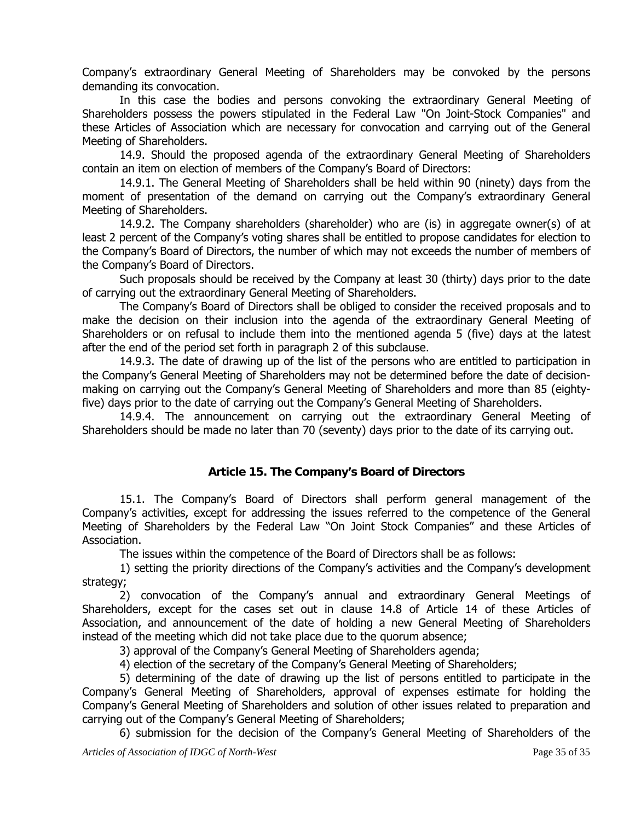Company's extraordinary General Meeting of Shareholders may be convoked by the persons demanding its convocation.

In this case the bodies and persons convoking the extraordinary General Meeting of Shareholders possess the powers stipulated in the Federal Law "On Joint-Stock Companies" and these Articles of Association which are necessary for convocation and carrying out of the General Meeting of Shareholders.

14.9. Should the proposed agenda of the extraordinary General Meeting of Shareholders contain an item on election of members of the Company's Board of Directors:

14.9.1. The General Meeting of Shareholders shall be held within 90 (ninety) days from the moment of presentation of the demand on carrying out the Company's extraordinary General Meeting of Shareholders.

14.9.2. The Company shareholders (shareholder) who are (is) in aggregate owner(s) of at least 2 percent of the Company's voting shares shall be entitled to propose candidates for election to the Company's Board of Directors, the number of which may not exceeds the number of members of the Company's Board of Directors.

Such proposals should be received by the Company at least 30 (thirty) days prior to the date of carrying out the extraordinary General Meeting of Shareholders.

The Company's Board of Directors shall be obliged to consider the received proposals and to make the decision on their inclusion into the agenda of the extraordinary General Meeting of Shareholders or on refusal to include them into the mentioned agenda 5 (five) days at the latest after the end of the period set forth in paragraph 2 of this subclause.

14.9.3. The date of drawing up of the list of the persons who are entitled to participation in the Company's General Meeting of Shareholders may not be determined before the date of decisionmaking on carrying out the Company's General Meeting of Shareholders and more than 85 (eightyfive) days prior to the date of carrying out the Company's General Meeting of Shareholders.

14.9.4. The announcement on carrying out the extraordinary General Meeting of Shareholders should be made no later than 70 (seventy) days prior to the date of its carrying out.

#### **Article 15. The Company's Board of Directors**

15.1. The Company's Board of Directors shall perform general management of the Company's activities, except for addressing the issues referred to the competence of the General Meeting of Shareholders by the Federal Law "On Joint Stock Companies" and these Articles of Association.

The issues within the competence of the Board of Directors shall be as follows:

1) setting the priority directions of the Company's activities and the Company's development strategy;

2) convocation of the Company's annual and extraordinary General Meetings of Shareholders, except for the cases set out in clause 14.8 of Article 14 of these Articles of Association, and announcement of the date of holding a new General Meeting of Shareholders instead of the meeting which did not take place due to the quorum absence;

3) approval of the Company's General Meeting of Shareholders agenda;

4) election of the secretary of the Company's General Meeting of Shareholders;

5) determining of the date of drawing up the list of persons entitled to participate in the Company's General Meeting of Shareholders, approval of expenses estimate for holding the Company's General Meeting of Shareholders and solution of other issues related to preparation and carrying out of the Company's General Meeting of Shareholders;

6) submission for the decision of the Company's General Meeting of Shareholders of the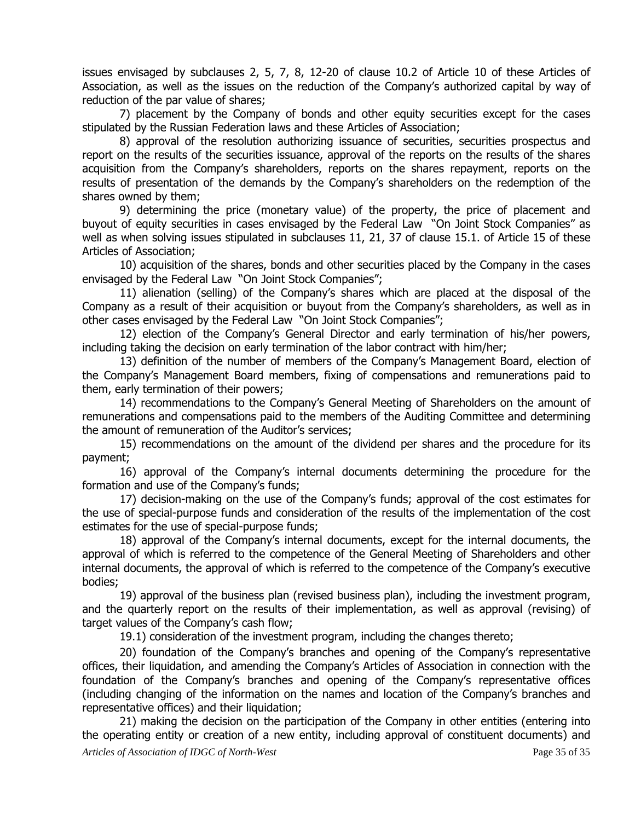issues envisaged by subclauses 2, 5, 7, 8, 12-20 of clause 10.2 of Article 10 of these Articles of Association, as well as the issues on the reduction of the Company's authorized capital by way of reduction of the par value of shares;

7) placement by the Company of bonds and other equity securities except for the cases stipulated by the Russian Federation laws and these Articles of Association;

8) approval of the resolution authorizing issuance of securities, securities prospectus and report on the results of the securities issuance, approval of the reports on the results of the shares acquisition from the Company's shareholders, reports on the shares repayment, reports on the results of presentation of the demands by the Company's shareholders on the redemption of the shares owned by them;

9) determining the price (monetary value) of the property, the price of placement and buyout of equity securities in cases envisaged by the Federal Law "On Joint Stock Companies" as well as when solving issues stipulated in subclauses 11, 21, 37 of clause 15.1. of Article 15 of these Articles of Association;

10) acquisition of the shares, bonds and other securities placed by the Company in the cases envisaged by the Federal Law "On Joint Stock Companies";

11) alienation (selling) of the Company's shares which are placed at the disposal of the Company as a result of their acquisition or buyout from the Company's shareholders, as well as in other cases envisaged by the Federal Law "On Joint Stock Companies";

12) election of the Company's General Director and early termination of his/her powers, including taking the decision on early termination of the labor contract with him/her;

13) definition of the number of members of the Company's Management Board, election of the Company's Management Board members, fixing of compensations and remunerations paid to them, early termination of their powers;

14) recommendations to the Company's General Meeting of Shareholders on the amount of remunerations and compensations paid to the members of the Auditing Committee and determining the amount of remuneration of the Auditor's services;

15) recommendations on the amount of the dividend per shares and the procedure for its payment;

16) approval of the Company's internal documents determining the procedure for the formation and use of the Company's funds;

17) decision-making on the use of the Company's funds; approval of the cost estimates for the use of special-purpose funds and consideration of the results of the implementation of the cost estimates for the use of special-purpose funds;

18) approval of the Company's internal documents, except for the internal documents, the approval of which is referred to the competence of the General Meeting of Shareholders and other internal documents, the approval of which is referred to the competence of the Company's executive bodies;

19) approval of the business plan (revised business plan), including the investment program, and the quarterly report on the results of their implementation, as well as approval (revising) of target values of the Company's cash flow;

19.1) consideration of the investment program, including the changes thereto;

20) foundation of the Company's branches and opening of the Company's representative offices, their liquidation, and amending the Company's Articles of Association in connection with the foundation of the Company's branches and opening of the Company's representative offices (including changing of the information on the names and location of the Company's branches and representative offices) and their liquidation;

*Articles of Association of IDGC of North-West* Page 35 of 35 21) making the decision on the participation of the Company in other entities (entering into the operating entity or creation of a new entity, including approval of constituent documents) and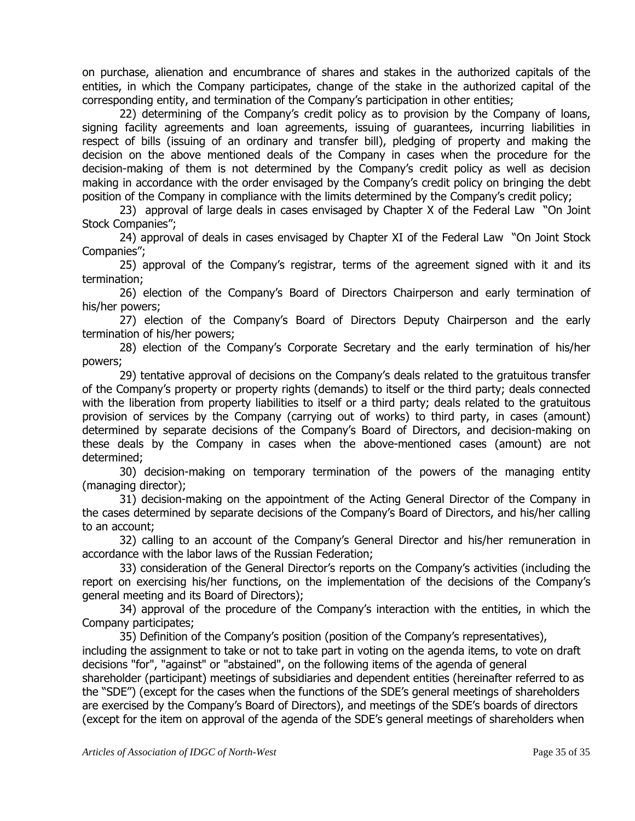on purchase, alienation and encumbrance of shares and stakes in the authorized capitals of the entities, in which the Company participates, change of the stake in the authorized capital of the corresponding entity, and termination of the Company's participation in other entities;

22) determining of the Company's credit policy as to provision by the Company of loans, signing facility agreements and loan agreements, issuing of guarantees, incurring liabilities in respect of bills (issuing of an ordinary and transfer bill), pledging of property and making the decision on the above mentioned deals of the Company in cases when the procedure for the decision-making of them is not determined by the Company's credit policy as well as decision making in accordance with the order envisaged by the Company's credit policy on bringing the debt position of the Company in compliance with the limits determined by the Company's credit policy;

23) approval of large deals in cases envisaged by Chapter X of the Federal Law "On Joint Stock Companies";

24) approval of deals in cases envisaged by Chapter XI of the Federal Law "On Joint Stock Companies";

25) approval of the Company's registrar, terms of the agreement signed with it and its termination;

26) election of the Company's Board of Directors Chairperson and early termination of his/her powers;

27) election of the Company's Board of Directors Deputy Chairperson and the early termination of his/her powers;

28) election of the Company's Corporate Secretary and the early termination of his/her powers;

29) tentative approval of decisions on the Company's deals related to the gratuitous transfer of the Company's property or property rights (demands) to itself or the third party; deals connected with the liberation from property liabilities to itself or a third party; deals related to the gratuitous provision of services by the Company (carrying out of works) to third party, in cases (amount) determined by separate decisions of the Company's Board of Directors, and decision-making on these deals by the Company in cases when the above-mentioned cases (amount) are not determined;

30) decision-making on temporary termination of the powers of the managing entity (managing director);

31) decision-making on the appointment of the Acting General Director of the Company in the cases determined by separate decisions of the Company's Board of Directors, and his/her calling to an account;

32) calling to an account of the Company's General Director and his/her remuneration in accordance with the labor laws of the Russian Federation;

33) consideration of the General Director's reports on the Company's activities (including the report on exercising his/her functions, on the implementation of the decisions of the Company's general meeting and its Board of Directors);

34) approval of the procedure of the Company's interaction with the entities, in which the Company participates;

35) Definition of the Company's position (position of the Company's representatives), including the assignment to take or not to take part in voting on the agenda items, to vote on draft decisions "for", "against" or "abstained", on the following items of the agenda of general shareholder (participant) meetings of subsidiaries and dependent entities (hereinafter referred to as the "SDE") (except for the cases when the functions of the SDE's general meetings of shareholders are exercised by the Company's Board of Directors), and meetings of the SDE's boards of directors (except for the item on approval of the agenda of the SDE's general meetings of shareholders when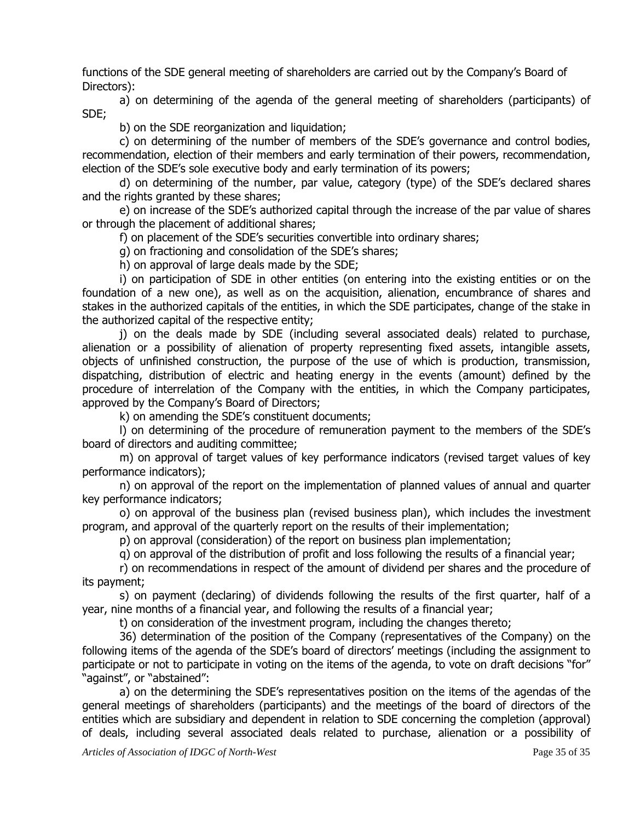functions of the SDE general meeting of shareholders are carried out by the Company's Board of Directors):

a) on determining of the agenda of the general meeting of shareholders (participants) of SDE;

b) on the SDE reorganization and liquidation;

c) on determining of the number of members of the SDE's governance and control bodies, recommendation, election of their members and early termination of their powers, recommendation, election of the SDE's sole executive body and early termination of its powers;

d) on determining of the number, par value, category (type) of the SDE's declared shares and the rights granted by these shares;

e) on increase of the SDE's authorized capital through the increase of the par value of shares or through the placement of additional shares;

f) on placement of the SDE's securities convertible into ordinary shares;

g) on fractioning and consolidation of the SDE's shares;

h) on approval of large deals made by the SDE;

i) on participation of SDE in other entities (on entering into the existing entities or on the foundation of a new one), as well as on the acquisition, alienation, encumbrance of shares and stakes in the authorized capitals of the entities, in which the SDE participates, change of the stake in the authorized capital of the respective entity;

j) on the deals made by SDE (including several associated deals) related to purchase, alienation or a possibility of alienation of property representing fixed assets, intangible assets, objects of unfinished construction, the purpose of the use of which is production, transmission, dispatching, distribution of electric and heating energy in the events (amount) defined by the procedure of interrelation of the Company with the entities, in which the Company participates, approved by the Company's Board of Directors;

k) on amending the SDE's constituent documents;

l) on determining of the procedure of remuneration payment to the members of the SDE's board of directors and auditing committee;

m) on approval of target values of key performance indicators (revised target values of key performance indicators);

n) on approval of the report on the implementation of planned values of annual and quarter key performance indicators;

o) on approval of the business plan (revised business plan), which includes the investment program, and approval of the quarterly report on the results of their implementation;

p) on approval (consideration) of the report on business plan implementation;

q) on approval of the distribution of profit and loss following the results of a financial year;

r) on recommendations in respect of the amount of dividend per shares and the procedure of its payment;

s) on payment (declaring) of dividends following the results of the first quarter, half of a year, nine months of a financial year, and following the results of a financial year;

t) on consideration of the investment program, including the changes thereto;

36) determination of the position of the Company (representatives of the Company) on the following items of the agenda of the SDE's board of directors' meetings (including the assignment to participate or not to participate in voting on the items of the agenda, to vote on draft decisions "for" "against", or "abstained":

a) on the determining the SDE's representatives position on the items of the agendas of the general meetings of shareholders (participants) and the meetings of the board of directors of the entities which are subsidiary and dependent in relation to SDE concerning the completion (approval) of deals, including several associated deals related to purchase, alienation or a possibility of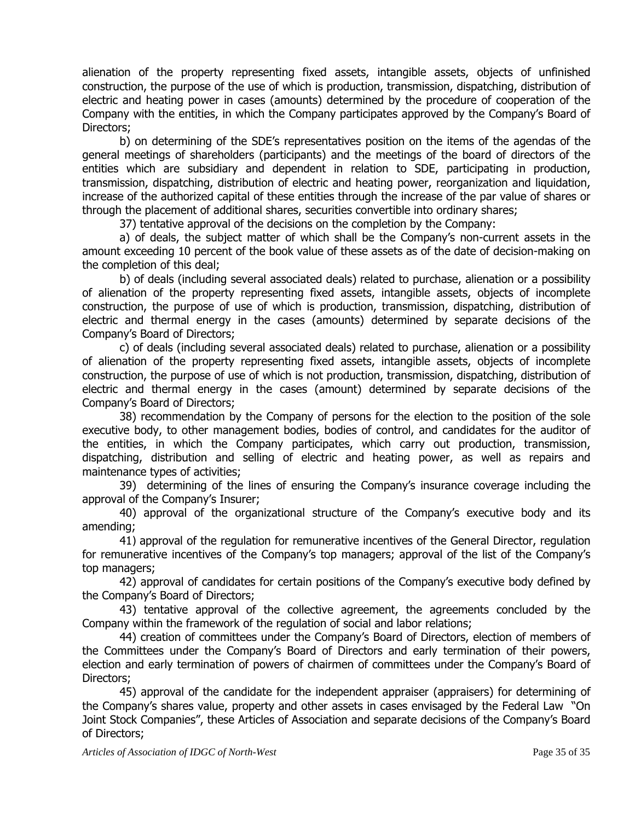alienation of the property representing fixed assets, intangible assets, objects of unfinished construction, the purpose of the use of which is production, transmission, dispatching, distribution of electric and heating power in cases (amounts) determined by the procedure of cooperation of the Company with the entities, in which the Company participates approved by the Company's Board of Directors;

b) on determining of the SDE's representatives position on the items of the agendas of the general meetings of shareholders (participants) and the meetings of the board of directors of the entities which are subsidiary and dependent in relation to SDE, participating in production, transmission, dispatching, distribution of electric and heating power, reorganization and liquidation, increase of the authorized capital of these entities through the increase of the par value of shares or through the placement of additional shares, securities convertible into ordinary shares;

37) tentative approval of the decisions on the completion by the Company:

a) of deals, the subject matter of which shall be the Company's non-current assets in the amount exceeding 10 percent of the book value of these assets as of the date of decision-making on the completion of this deal;

b) of deals (including several associated deals) related to purchase, alienation or a possibility of alienation of the property representing fixed assets, intangible assets, objects of incomplete construction, the purpose of use of which is production, transmission, dispatching, distribution of electric and thermal energy in the cases (amounts) determined by separate decisions of the Company's Board of Directors;

c) of deals (including several associated deals) related to purchase, alienation or a possibility of alienation of the property representing fixed assets, intangible assets, objects of incomplete construction, the purpose of use of which is not production, transmission, dispatching, distribution of electric and thermal energy in the cases (amount) determined by separate decisions of the Company's Board of Directors;

38) recommendation by the Company of persons for the election to the position of the sole executive body, to other management bodies, bodies of control, and candidates for the auditor of the entities, in which the Company participates, which carry out production, transmission, dispatching, distribution and selling of electric and heating power, as well as repairs and maintenance types of activities;

39) determining of the lines of ensuring the Company's insurance coverage including the approval of the Company's Insurer;

40) approval of the organizational structure of the Company's executive body and its amending;

41) approval of the regulation for remunerative incentives of the General Director, regulation for remunerative incentives of the Company's top managers; approval of the list of the Company's top managers;

42) approval of candidates for certain positions of the Company's executive body defined by the Company's Board of Directors;

43) tentative approval of the collective agreement, the agreements concluded by the Company within the framework of the regulation of social and labor relations;

44) creation of committees under the Company's Board of Directors, election of members of the Committees under the Company's Board of Directors and early termination of their powers, election and early termination of powers of chairmen of committees under the Company's Board of Directors;

45) approval of the candidate for the independent appraiser (appraisers) for determining of the Company's shares value, property and other assets in cases envisaged by the Federal Law "On Joint Stock Companies", these Articles of Association and separate decisions of the Company's Board of Directors;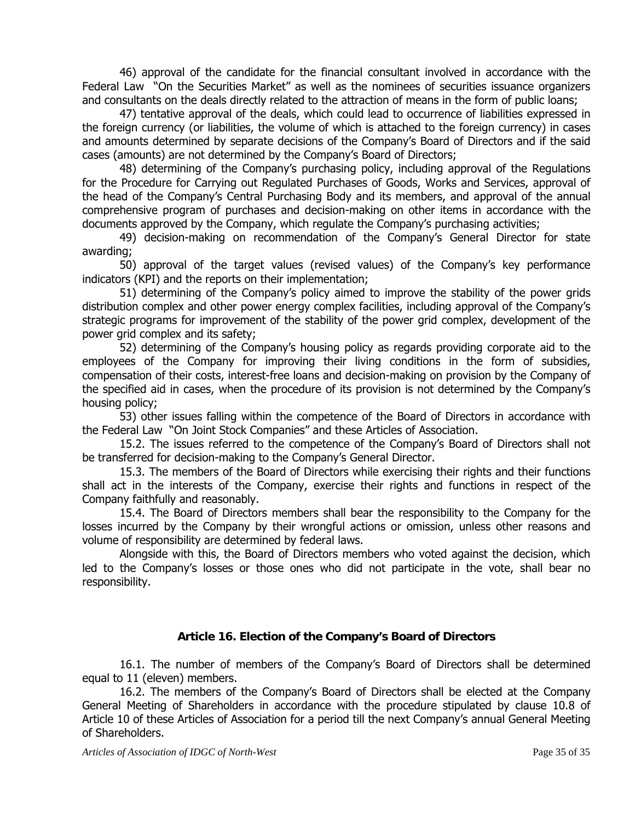46) approval of the candidate for the financial consultant involved in accordance with the Federal Law "On the Securities Market" as well as the nominees of securities issuance organizers and consultants on the deals directly related to the attraction of means in the form of public loans;

47) tentative approval of the deals, which could lead to occurrence of liabilities expressed in the foreign currency (or liabilities, the volume of which is attached to the foreign currency) in cases and amounts determined by separate decisions of the Company's Board of Directors and if the said cases (amounts) are not determined by the Company's Board of Directors;

48) determining of the Company's purchasing policy, including approval of the Regulations for the Procedure for Carrying out Regulated Purchases of Goods, Works and Services, approval of the head of the Company's Central Purchasing Body and its members, and approval of the annual comprehensive program of purchases and decision-making on other items in accordance with the documents approved by the Company, which regulate the Company's purchasing activities;

49) decision-making on recommendation of the Company's General Director for state awarding;

50) approval of the target values (revised values) of the Company's key performance indicators (KPI) and the reports on their implementation;

51) determining of the Company's policy aimed to improve the stability of the power grids distribution complex and other power energy complex facilities, including approval of the Company's strategic programs for improvement of the stability of the power grid complex, development of the power grid complex and its safety;

52) determining of the Company's housing policy as regards providing corporate aid to the employees of the Company for improving their living conditions in the form of subsidies, compensation of their costs, interest-free loans and decision-making on provision by the Company of the specified aid in cases, when the procedure of its provision is not determined by the Company's housing policy;

53) other issues falling within the competence of the Board of Directors in accordance with the Federal Law "On Joint Stock Companies" and these Articles of Association.

15.2. The issues referred to the competence of the Company's Board of Directors shall not be transferred for decision-making to the Company's General Director.

15.3. The members of the Board of Directors while exercising their rights and their functions shall act in the interests of the Company, exercise their rights and functions in respect of the Company faithfully and reasonably.

15.4. The Board of Directors members shall bear the responsibility to the Company for the losses incurred by the Company by their wrongful actions or omission, unless other reasons and volume of responsibility are determined by federal laws.

Alongside with this, the Board of Directors members who voted against the decision, which led to the Company's losses or those ones who did not participate in the vote, shall bear no responsibility.

#### **Article 16. Election of the Company's Board of Directors**

16.1. The number of members of the Company's Board of Directors shall be determined equal to 11 (eleven) members.

16.2. The members of the Company's Board of Directors shall be elected at the Company General Meeting of Shareholders in accordance with the procedure stipulated by clause 10.8 of Article 10 of these Articles of Association for a period till the next Company's annual General Meeting of Shareholders.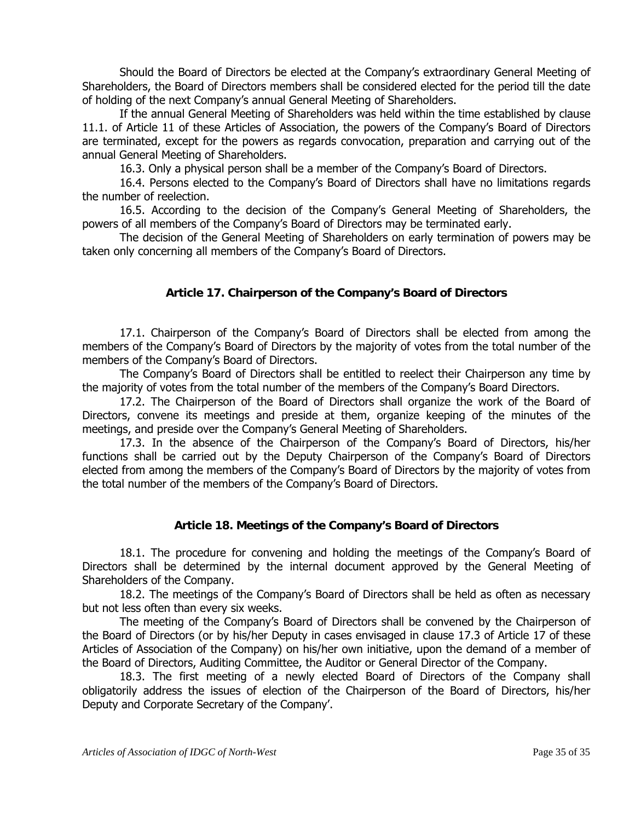Should the Board of Directors be elected at the Company's extraordinary General Meeting of Shareholders, the Board of Directors members shall be considered elected for the period till the date of holding of the next Company's annual General Meeting of Shareholders.

If the annual General Meeting of Shareholders was held within the time established by clause 11.1. of Article 11 of these Articles of Association, the powers of the Company's Board of Directors are terminated, except for the powers as regards convocation, preparation and carrying out of the annual General Meeting of Shareholders.

16.3. Only a physical person shall be a member of the Company's Board of Directors.

16.4. Persons elected to the Company's Board of Directors shall have no limitations regards the number of reelection.

16.5. According to the decision of the Company's General Meeting of Shareholders, the powers of all members of the Company's Board of Directors may be terminated early.

The decision of the General Meeting of Shareholders on early termination of powers may be taken only concerning all members of the Company's Board of Directors.

#### **Article 17. Chairperson of the Company's Board of Directors**

17.1. Chairperson of the Company's Board of Directors shall be elected from among the members of the Company's Board of Directors by the majority of votes from the total number of the members of the Company's Board of Directors.

The Company's Board of Directors shall be entitled to reelect their Chairperson any time by the majority of votes from the total number of the members of the Company's Board Directors.

17.2. The Chairperson of the Board of Directors shall organize the work of the Board of Directors, convene its meetings and preside at them, organize keeping of the minutes of the meetings, and preside over the Company's General Meeting of Shareholders.

17.3. In the absence of the Chairperson of the Company's Board of Directors, his/her functions shall be carried out by the Deputy Chairperson of the Company's Board of Directors elected from among the members of the Company's Board of Directors by the majority of votes from the total number of the members of the Company's Board of Directors.

#### **Article 18. Meetings of the Company's Board of Directors**

18.1. The procedure for convening and holding the meetings of the Company's Board of Directors shall be determined by the internal document approved by the General Meeting of Shareholders of the Company.

18.2. The meetings of the Company's Board of Directors shall be held as often as necessary but not less often than every six weeks.

The meeting of the Company's Board of Directors shall be convened by the Chairperson of the Board of Directors (or by his/her Deputy in cases envisaged in clause 17.3 of Article 17 of these Articles of Association of the Company) on his/her own initiative, upon the demand of a member of the Board of Directors, Auditing Committee, the Auditor or General Director of the Company.

18.3. The first meeting of a newly elected Board of Directors of the Company shall obligatorily address the issues of election of the Chairperson of the Board of Directors, his/her Deputy and Corporate Secretary of the Company'.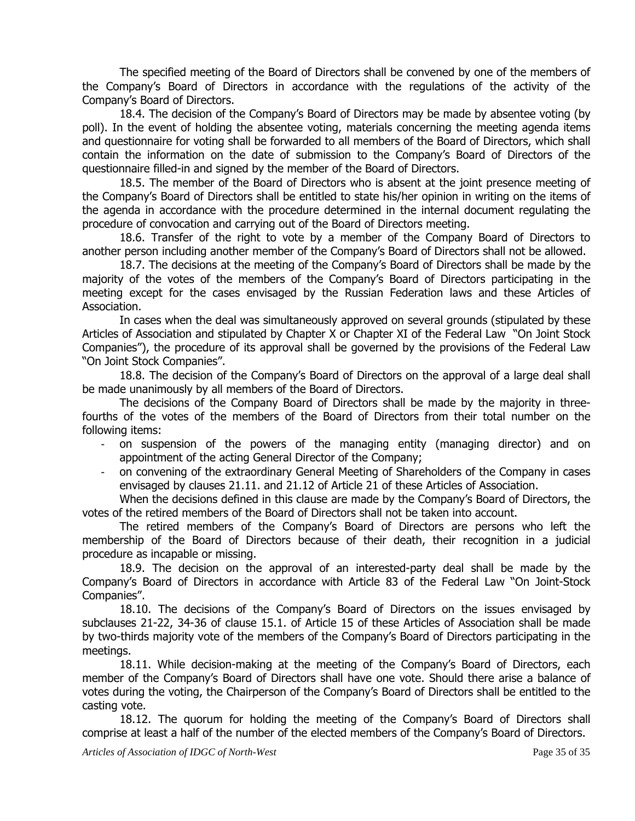The specified meeting of the Board of Directors shall be convened by one of the members of the Company's Board of Directors in accordance with the regulations of the activity of the Company's Board of Directors.

18.4. The decision of the Company's Board of Directors may be made by absentee voting (by poll). In the event of holding the absentee voting, materials concerning the meeting agenda items and questionnaire for voting shall be forwarded to all members of the Board of Directors, which shall contain the information on the date of submission to the Company's Board of Directors of the questionnaire filled-in and signed by the member of the Board of Directors.

18.5. The member of the Board of Directors who is absent at the joint presence meeting of the Company's Board of Directors shall be entitled to state his/her opinion in writing on the items of the agenda in accordance with the procedure determined in the internal document regulating the procedure of convocation and carrying out of the Board of Directors meeting.

18.6. Transfer of the right to vote by a member of the Company Board of Directors to another person including another member of the Company's Board of Directors shall not be allowed.

18.7. The decisions at the meeting of the Company's Board of Directors shall be made by the majority of the votes of the members of the Company's Board of Directors participating in the meeting except for the cases envisaged by the Russian Federation laws and these Articles of Association.

In cases when the deal was simultaneously approved on several grounds (stipulated by these Articles of Association and stipulated by Chapter X or Chapter XI of the Federal Law "On Joint Stock Companies"), the procedure of its approval shall be governed by the provisions of the Federal Law "On Joint Stock Companies".

18.8. The decision of the Company's Board of Directors on the approval of a large deal shall be made unanimously by all members of the Board of Directors.

The decisions of the Company Board of Directors shall be made by the majority in threefourths of the votes of the members of the Board of Directors from their total number on the following items:

- on suspension of the powers of the managing entity (managing director) and on appointment of the acting General Director of the Company;
- on convening of the extraordinary General Meeting of Shareholders of the Company in cases envisaged by clauses 21.11. and 21.12 of Article 21 of these Articles of Association.

When the decisions defined in this clause are made by the Company's Board of Directors, the votes of the retired members of the Board of Directors shall not be taken into account.

The retired members of the Company's Board of Directors are persons who left the membership of the Board of Directors because of their death, their recognition in a judicial procedure as incapable or missing.

18.9. The decision on the approval of an interested-party deal shall be made by the Company's Board of Directors in accordance with Article 83 of the Federal Law "On Joint-Stock Companies".

18.10. The decisions of the Company's Board of Directors on the issues envisaged by subclauses 21-22, 34-36 of clause 15.1. of Article 15 of these Articles of Association shall be made by two-thirds majority vote of the members of the Company's Board of Directors participating in the meetings.

18.11. While decision-making at the meeting of the Company's Board of Directors, each member of the Company's Board of Directors shall have one vote. Should there arise a balance of votes during the voting, the Chairperson of the Company's Board of Directors shall be entitled to the casting vote.

18.12. The quorum for holding the meeting of the Company's Board of Directors shall comprise at least a half of the number of the elected members of the Company's Board of Directors.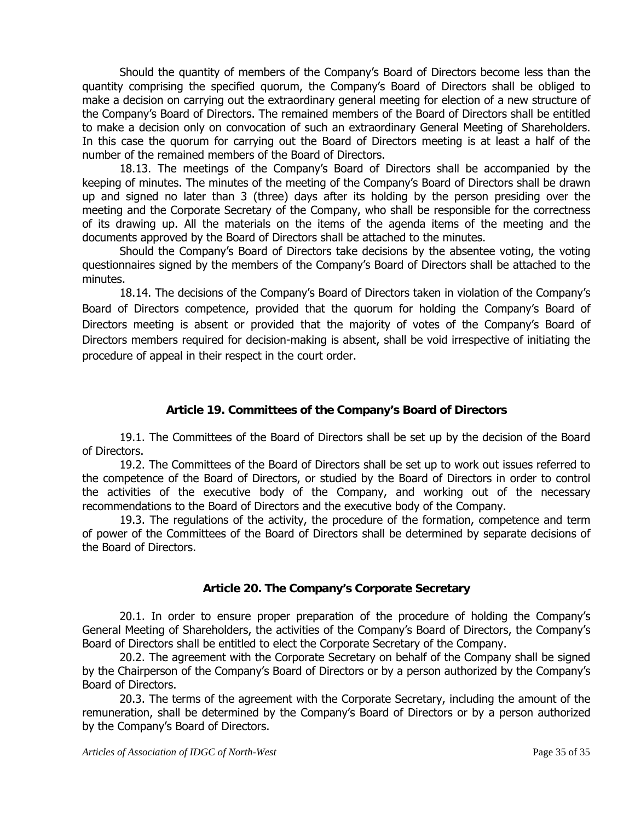Should the quantity of members of the Company's Board of Directors become less than the quantity comprising the specified quorum, the Company's Board of Directors shall be obliged to make a decision on carrying out the extraordinary general meeting for election of a new structure of the Company's Board of Directors. The remained members of the Board of Directors shall be entitled to make a decision only on convocation of such an extraordinary General Meeting of Shareholders. In this case the quorum for carrying out the Board of Directors meeting is at least a half of the number of the remained members of the Board of Directors.

18.13. The meetings of the Company's Board of Directors shall be accompanied by the keeping of minutes. The minutes of the meeting of the Company's Board of Directors shall be drawn up and signed no later than 3 (three) days after its holding by the person presiding over the meeting and the Corporate Secretary of the Company, who shall be responsible for the correctness of its drawing up. All the materials on the items of the agenda items of the meeting and the documents approved by the Board of Directors shall be attached to the minutes.

Should the Company's Board of Directors take decisions by the absentee voting, the voting questionnaires signed by the members of the Company's Board of Directors shall be attached to the minutes.

18.14. The decisions of the Company's Board of Directors taken in violation of the Company's Board of Directors competence, provided that the quorum for holding the Company's Board of Directors meeting is absent or provided that the majority of votes of the Company's Board of Directors members required for decision-making is absent, shall be void irrespective of initiating the procedure of appeal in their respect in the court order.

## **Article 19. Committees of the Company's Board of Directors**

19.1. The Committees of the Board of Directors shall be set up by the decision of the Board of Directors.

19.2. The Committees of the Board of Directors shall be set up to work out issues referred to the competence of the Board of Directors, or studied by the Board of Directors in order to control the activities of the executive body of the Company, and working out of the necessary recommendations to the Board of Directors and the executive body of the Company.

19.3. The regulations of the activity, the procedure of the formation, competence and term of power of the Committees of the Board of Directors shall be determined by separate decisions of the Board of Directors.

#### **Article 20. The Company's Corporate Secretary**

20.1. In order to ensure proper preparation of the procedure of holding the Company's General Meeting of Shareholders, the activities of the Company's Board of Directors, the Company's Board of Directors shall be entitled to elect the Corporate Secretary of the Company.

20.2. The agreement with the Corporate Secretary on behalf of the Company shall be signed by the Chairperson of the Company's Board of Directors or by a person authorized by the Company's Board of Directors.

20.3. The terms of the agreement with the Corporate Secretary, including the amount of the remuneration, shall be determined by the Company's Board of Directors or by a person authorized by the Company's Board of Directors.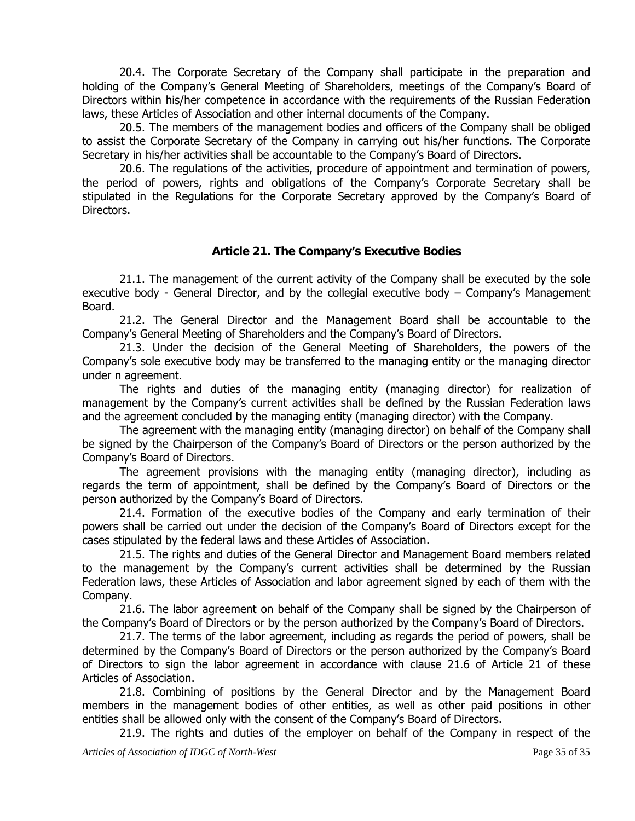20.4. The Corporate Secretary of the Company shall participate in the preparation and holding of the Company's General Meeting of Shareholders, meetings of the Company's Board of Directors within his/her competence in accordance with the requirements of the Russian Federation laws, these Articles of Association and other internal documents of the Company.

20.5. The members of the management bodies and officers of the Company shall be obliged to assist the Corporate Secretary of the Company in carrying out his/her functions. The Corporate Secretary in his/her activities shall be accountable to the Company's Board of Directors.

20.6. The regulations of the activities, procedure of appointment and termination of powers, the period of powers, rights and obligations of the Company's Corporate Secretary shall be stipulated in the Regulations for the Corporate Secretary approved by the Company's Board of Directors.

#### **Article 21. The Company's Executive Bodies**

21.1. The management of the current activity of the Company shall be executed by the sole executive body - General Director, and by the collegial executive body – Company's Management Board.

21.2. The General Director and the Management Board shall be accountable to the Company's General Meeting of Shareholders and the Company's Board of Directors.

21.3. Under the decision of the General Meeting of Shareholders, the powers of the Company's sole executive body may be transferred to the managing entity or the managing director under n agreement.

The rights and duties of the managing entity (managing director) for realization of management by the Company's current activities shall be defined by the Russian Federation laws and the agreement concluded by the managing entity (managing director) with the Company.

The agreement with the managing entity (managing director) on behalf of the Company shall be signed by the Chairperson of the Company's Board of Directors or the person authorized by the Company's Board of Directors.

The agreement provisions with the managing entity (managing director), including as regards the term of appointment, shall be defined by the Company's Board of Directors or the person authorized by the Company's Board of Directors.

21.4. Formation of the executive bodies of the Company and early termination of their powers shall be carried out under the decision of the Company's Board of Directors except for the cases stipulated by the federal laws and these Articles of Association.

21.5. The rights and duties of the General Director and Management Board members related to the management by the Company's current activities shall be determined by the Russian Federation laws, these Articles of Association and labor agreement signed by each of them with the Company.

21.6. The labor agreement on behalf of the Company shall be signed by the Chairperson of the Company's Board of Directors or by the person authorized by the Company's Board of Directors.

21.7. The terms of the labor agreement, including as regards the period of powers, shall be determined by the Company's Board of Directors or the person authorized by the Company's Board of Directors to sign the labor agreement in accordance with clause 21.6 of Article 21 of these Articles of Association.

21.8. Combining of positions by the General Director and by the Management Board members in the management bodies of other entities, as well as other paid positions in other entities shall be allowed only with the consent of the Company's Board of Directors.

21.9. The rights and duties of the employer on behalf of the Company in respect of the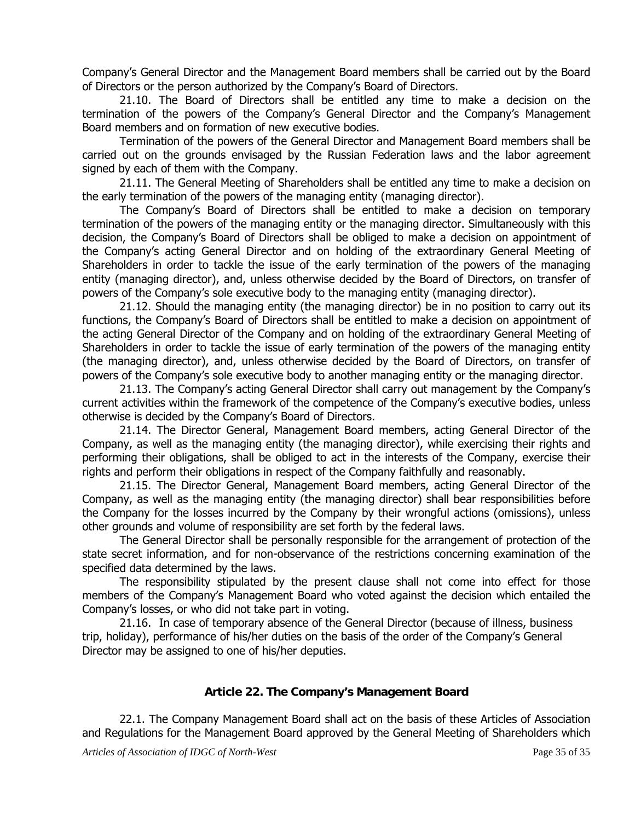Company's General Director and the Management Board members shall be carried out by the Board of Directors or the person authorized by the Company's Board of Directors.

21.10. The Board of Directors shall be entitled any time to make a decision on the termination of the powers of the Company's General Director and the Company's Management Board members and on formation of new executive bodies.

Termination of the powers of the General Director and Management Board members shall be carried out on the grounds envisaged by the Russian Federation laws and the labor agreement signed by each of them with the Company.

21.11. The General Meeting of Shareholders shall be entitled any time to make a decision on the early termination of the powers of the managing entity (managing director).

The Company's Board of Directors shall be entitled to make a decision on temporary termination of the powers of the managing entity or the managing director. Simultaneously with this decision, the Company's Board of Directors shall be obliged to make a decision on appointment of the Company's acting General Director and on holding of the extraordinary General Meeting of Shareholders in order to tackle the issue of the early termination of the powers of the managing entity (managing director), and, unless otherwise decided by the Board of Directors, on transfer of powers of the Company's sole executive body to the managing entity (managing director).

21.12. Should the managing entity (the managing director) be in no position to carry out its functions, the Company's Board of Directors shall be entitled to make a decision on appointment of the acting General Director of the Company and on holding of the extraordinary General Meeting of Shareholders in order to tackle the issue of early termination of the powers of the managing entity (the managing director), and, unless otherwise decided by the Board of Directors, on transfer of powers of the Company's sole executive body to another managing entity or the managing director.

21.13. The Company's acting General Director shall carry out management by the Company's current activities within the framework of the competence of the Company's executive bodies, unless otherwise is decided by the Company's Board of Directors.

21.14. The Director General, Management Board members, acting General Director of the Company, as well as the managing entity (the managing director), while exercising their rights and performing their obligations, shall be obliged to act in the interests of the Company, exercise their rights and perform their obligations in respect of the Company faithfully and reasonably.

21.15. The Director General, Management Board members, acting General Director of the Company, as well as the managing entity (the managing director) shall bear responsibilities before the Company for the losses incurred by the Company by their wrongful actions (omissions), unless other grounds and volume of responsibility are set forth by the federal laws.

The General Director shall be personally responsible for the arrangement of protection of the state secret information, and for non-observance of the restrictions concerning examination of the specified data determined by the laws.

The responsibility stipulated by the present clause shall not come into effect for those members of the Company's Management Board who voted against the decision which entailed the Company's losses, or who did not take part in voting.

21.16. In case of temporary absence of the General Director (because of illness, business trip, holiday), performance of his/her duties on the basis of the order of the Company's General Director may be assigned to one of his/her deputies.

#### **Article 22. The Company's Management Board**

22.1. The Company Management Board shall act on the basis of these Articles of Association and Regulations for the Management Board approved by the General Meeting of Shareholders which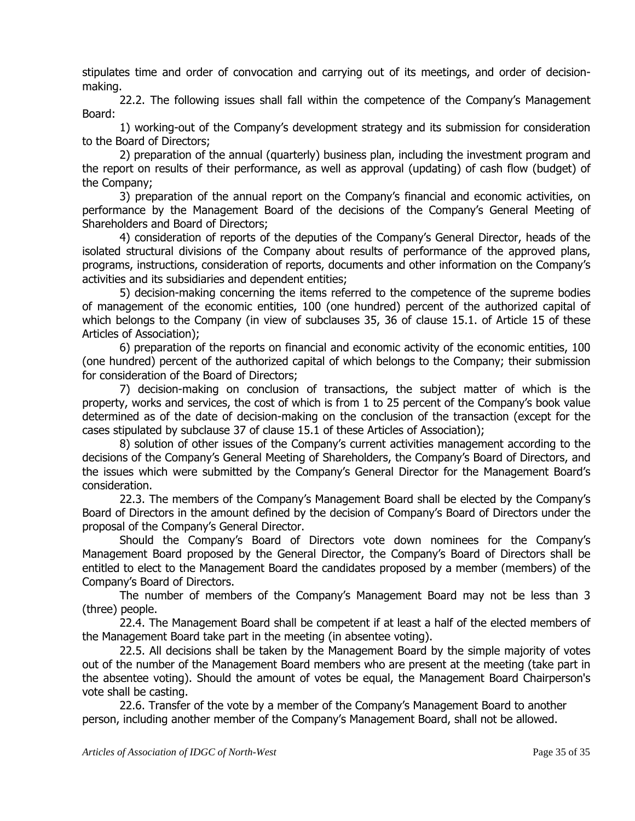stipulates time and order of convocation and carrying out of its meetings, and order of decisionmaking.

22.2. The following issues shall fall within the competence of the Company's Management Board:

1) working-out of the Company's development strategy and its submission for consideration to the Board of Directors;

2) preparation of the annual (quarterly) business plan, including the investment program and the report on results of their performance, as well as approval (updating) of cash flow (budget) of the Company;

3) preparation of the annual report on the Company's financial and economic activities, on performance by the Management Board of the decisions of the Company's General Meeting of Shareholders and Board of Directors;

4) consideration of reports of the deputies of the Company's General Director, heads of the isolated structural divisions of the Company about results of performance of the approved plans, programs, instructions, consideration of reports, documents and other information on the Company's activities and its subsidiaries and dependent entities;

5) decision-making concerning the items referred to the competence of the supreme bodies of management of the economic entities, 100 (one hundred) percent of the authorized capital of which belongs to the Company (in view of subclauses 35, 36 of clause 15.1. of Article 15 of these Articles of Association);

6) preparation of the reports on financial and economic activity of the economic entities, 100 (one hundred) percent of the authorized capital of which belongs to the Company; their submission for consideration of the Board of Directors;

7) decision-making on conclusion of transactions, the subject matter of which is the property, works and services, the cost of which is from 1 to 25 percent of the Company's book value determined as of the date of decision-making on the conclusion of the transaction (except for the cases stipulated by subclause 37 of clause 15.1 of these Articles of Association);

8) solution of other issues of the Company's current activities management according to the decisions of the Company's General Meeting of Shareholders, the Company's Board of Directors, and the issues which were submitted by the Company's General Director for the Management Board's consideration.

22.3. The members of the Company's Management Board shall be elected by the Company's Board of Directors in the amount defined by the decision of Company's Board of Directors under the proposal of the Company's General Director.

Should the Company's Board of Directors vote down nominees for the Company's Management Board proposed by the General Director, the Company's Board of Directors shall be entitled to elect to the Management Board the candidates proposed by a member (members) of the Company's Board of Directors.

The number of members of the Company's Management Board may not be less than 3 (three) people.

22.4. The Management Board shall be competent if at least a half of the elected members of the Management Board take part in the meeting (in absentee voting).

22.5. All decisions shall be taken by the Management Board by the simple majority of votes out of the number of the Management Board members who are present at the meeting (take part in the absentee voting). Should the amount of votes be equal, the Management Board Chairperson's vote shall be casting.

22.6. Transfer of the vote by a member of the Company's Management Board to another person, including another member of the Company's Management Board, shall not be allowed.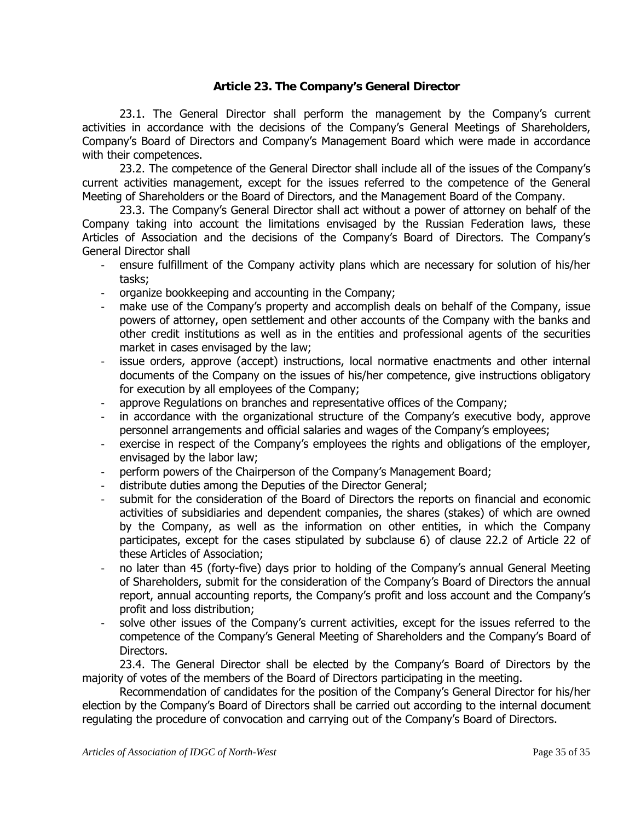#### **Article 23. The Company's General Director**

23.1. The General Director shall perform the management by the Company's current activities in accordance with the decisions of the Company's General Meetings of Shareholders, Company's Board of Directors and Company's Management Board which were made in accordance with their competences.

23.2. The competence of the General Director shall include all of the issues of the Company's current activities management, except for the issues referred to the competence of the General Meeting of Shareholders or the Board of Directors, and the Management Board of the Company.

23.3. The Company's General Director shall act without a power of attorney on behalf of the Company taking into account the limitations envisaged by the Russian Federation laws, these Articles of Association and the decisions of the Company's Board of Directors. The Company's General Director shall

- ensure fulfillment of the Company activity plans which are necessary for solution of his/her tasks;
- organize bookkeeping and accounting in the Company;
- make use of the Company's property and accomplish deals on behalf of the Company, issue powers of attorney, open settlement and other accounts of the Company with the banks and other credit institutions as well as in the entities and professional agents of the securities market in cases envisaged by the law;
- issue orders, approve (accept) instructions, local normative enactments and other internal documents of the Company on the issues of his/her competence, give instructions obligatory for execution by all employees of the Company;
- approve Regulations on branches and representative offices of the Company;
- in accordance with the organizational structure of the Company's executive body, approve personnel arrangements and official salaries and wages of the Company's employees;
- exercise in respect of the Company's employees the rights and obligations of the employer, envisaged by the labor law;
- perform powers of the Chairperson of the Company's Management Board;
- distribute duties among the Deputies of the Director General;
- submit for the consideration of the Board of Directors the reports on financial and economic activities of subsidiaries and dependent companies, the shares (stakes) of which are owned by the Company, as well as the information on other entities, in which the Company participates, except for the cases stipulated by subclause 6) of clause 22.2 of Article 22 of these Articles of Association;
- no later than 45 (forty-five) days prior to holding of the Company's annual General Meeting of Shareholders, submit for the consideration of the Company's Board of Directors the annual report, annual accounting reports, the Company's profit and loss account and the Company's profit and loss distribution;
- solve other issues of the Company's current activities, except for the issues referred to the competence of the Company's General Meeting of Shareholders and the Company's Board of Directors.

23.4. The General Director shall be elected by the Company's Board of Directors by the majority of votes of the members of the Board of Directors participating in the meeting.

Recommendation of candidates for the position of the Company's General Director for his/her election by the Company's Board of Directors shall be carried out according to the internal document regulating the procedure of convocation and carrying out of the Company's Board of Directors.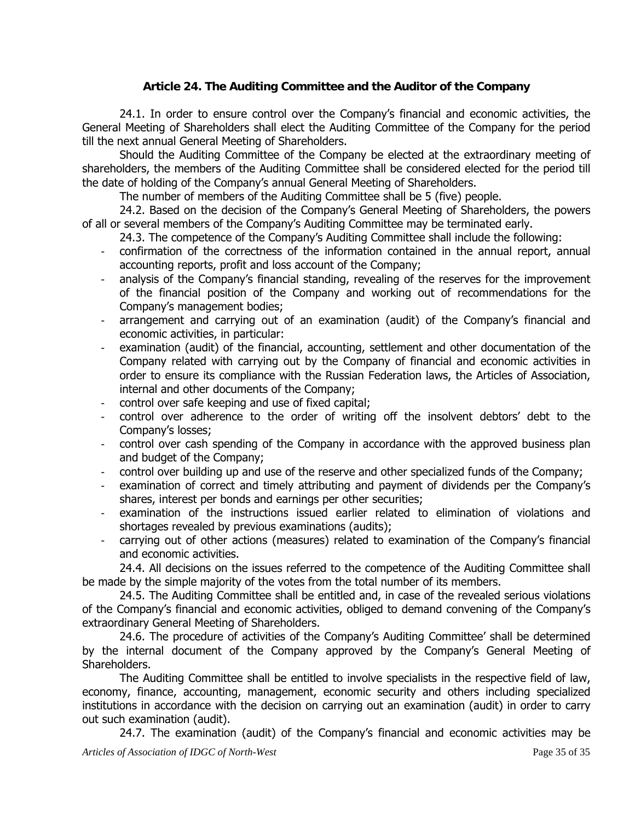## **Article 24. The Auditing Committee and the Auditor of the Company**

24.1. In order to ensure control over the Company's financial and economic activities, the General Meeting of Shareholders shall elect the Auditing Committee of the Company for the period till the next annual General Meeting of Shareholders.

Should the Auditing Committee of the Company be elected at the extraordinary meeting of shareholders, the members of the Auditing Committee shall be considered elected for the period till the date of holding of the Company's annual General Meeting of Shareholders.

The number of members of the Auditing Committee shall be 5 (five) people.

24.2. Based on the decision of the Company's General Meeting of Shareholders, the powers of all or several members of the Company's Auditing Committee may be terminated early.

24.3. The competence of the Company's Auditing Committee shall include the following:

- confirmation of the correctness of the information contained in the annual report, annual accounting reports, profit and loss account of the Company;
- analysis of the Company's financial standing, revealing of the reserves for the improvement of the financial position of the Company and working out of recommendations for the Company's management bodies;
- arrangement and carrying out of an examination (audit) of the Company's financial and economic activities, in particular:
- examination (audit) of the financial, accounting, settlement and other documentation of the Company related with carrying out by the Company of financial and economic activities in order to ensure its compliance with the Russian Federation laws, the Articles of Association, internal and other documents of the Company;
- control over safe keeping and use of fixed capital;
- control over adherence to the order of writing off the insolvent debtors' debt to the Company's losses;
- control over cash spending of the Company in accordance with the approved business plan and budget of the Company;
- control over building up and use of the reserve and other specialized funds of the Company;
- examination of correct and timely attributing and payment of dividends per the Company's shares, interest per bonds and earnings per other securities;
- examination of the instructions issued earlier related to elimination of violations and shortages revealed by previous examinations (audits);
- carrying out of other actions (measures) related to examination of the Company's financial and economic activities.

24.4. All decisions on the issues referred to the competence of the Auditing Committee shall be made by the simple majority of the votes from the total number of its members.

24.5. The Auditing Committee shall be entitled and, in case of the revealed serious violations of the Company's financial and economic activities, obliged to demand convening of the Company's extraordinary General Meeting of Shareholders.

24.6. The procedure of activities of the Company's Auditing Committee' shall be determined by the internal document of the Company approved by the Company's General Meeting of Shareholders.

The Auditing Committee shall be entitled to involve specialists in the respective field of law, economy, finance, accounting, management, economic security and others including specialized institutions in accordance with the decision on carrying out an examination (audit) in order to carry out such examination (audit).

24.7. The examination (audit) of the Company's financial and economic activities may be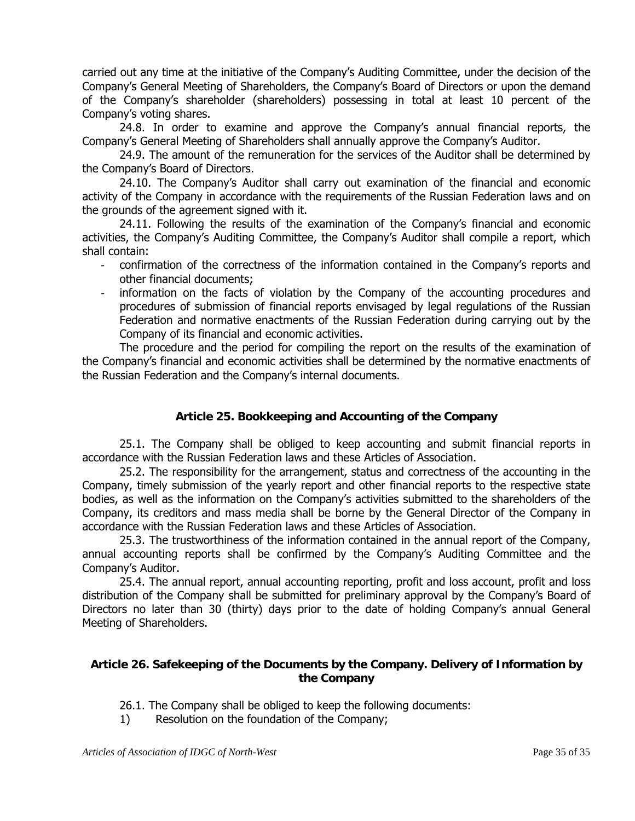carried out any time at the initiative of the Company's Auditing Committee, under the decision of the Company's General Meeting of Shareholders, the Company's Board of Directors or upon the demand of the Company's shareholder (shareholders) possessing in total at least 10 percent of the Company's voting shares.

24.8. In order to examine and approve the Company's annual financial reports, the Company's General Meeting of Shareholders shall annually approve the Company's Auditor.

24.9. The amount of the remuneration for the services of the Auditor shall be determined by the Company's Board of Directors.

24.10. The Company's Auditor shall carry out examination of the financial and economic activity of the Company in accordance with the requirements of the Russian Federation laws and on the grounds of the agreement signed with it.

24.11. Following the results of the examination of the Company's financial and economic activities, the Company's Auditing Committee, the Company's Auditor shall compile a report, which shall contain:

- confirmation of the correctness of the information contained in the Company's reports and other financial documents;
- information on the facts of violation by the Company of the accounting procedures and procedures of submission of financial reports envisaged by legal regulations of the Russian Federation and normative enactments of the Russian Federation during carrying out by the Company of its financial and economic activities.

The procedure and the period for compiling the report on the results of the examination of the Company's financial and economic activities shall be determined by the normative enactments of the Russian Federation and the Company's internal documents.

## **Article 25. Bookkeeping and Accounting of the Company**

25.1. The Company shall be obliged to keep accounting and submit financial reports in accordance with the Russian Federation laws and these Articles of Association.

25.2. The responsibility for the arrangement, status and correctness of the accounting in the Company, timely submission of the yearly report and other financial reports to the respective state bodies, as well as the information on the Company's activities submitted to the shareholders of the Company, its creditors and mass media shall be borne by the General Director of the Company in accordance with the Russian Federation laws and these Articles of Association.

25.3. The trustworthiness of the information contained in the annual report of the Company, annual accounting reports shall be confirmed by the Company's Auditing Committee and the Company's Auditor.

25.4. The annual report, annual accounting reporting, profit and loss account, profit and loss distribution of the Company shall be submitted for preliminary approval by the Company's Board of Directors no later than 30 (thirty) days prior to the date of holding Company's annual General Meeting of Shareholders.

#### **Article 26. Safekeeping of the Documents by the Company. Delivery of Information by the Company**

- 26.1. The Company shall be obliged to keep the following documents:
- 1) Resolution on the foundation of the Company;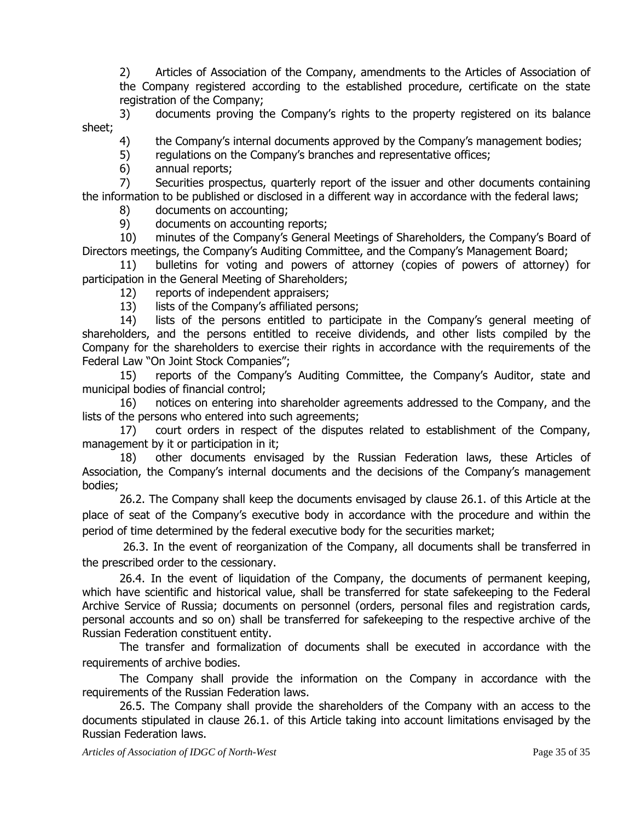2) Articles of Association of the Company, amendments to the Articles of Association of the Company registered according to the established procedure, certificate on the state registration of the Company;

3) documents proving the Company's rights to the property registered on its balance sheet;

4) the Company's internal documents approved by the Company's management bodies;

5) regulations on the Company's branches and representative offices;

6) annual reports;

7) Securities prospectus, quarterly report of the issuer and other documents containing the information to be published or disclosed in a different way in accordance with the federal laws;

8) documents on accounting;

9) documents on accounting reports;

10) minutes of the Company's General Meetings of Shareholders, the Company's Board of Directors meetings, the Company's Auditing Committee, and the Company's Management Board;

11) bulletins for voting and powers of attorney (copies of powers of attorney) for participation in the General Meeting of Shareholders;

- 12) reports of independent appraisers;
- 13) lists of the Company's affiliated persons;

14) lists of the persons entitled to participate in the Company's general meeting of shareholders, and the persons entitled to receive dividends, and other lists compiled by the Company for the shareholders to exercise their rights in accordance with the requirements of the Federal Law "On Joint Stock Companies";

15) reports of the Company's Auditing Committee, the Company's Auditor, state and municipal bodies of financial control;

16) notices on entering into shareholder agreements addressed to the Company, and the lists of the persons who entered into such agreements;

17) court orders in respect of the disputes related to establishment of the Company, management by it or participation in it;

18) other documents envisaged by the Russian Federation laws, these Articles of Association, the Company's internal documents and the decisions of the Company's management bodies;

26.2. The Company shall keep the documents envisaged by clause 26.1. of this Article at the place of seat of the Company's executive body in accordance with the procedure and within the period of time determined by the federal executive body for the securities market;

 26.3. In the event of reorganization of the Company, all documents shall be transferred in the prescribed order to the cessionary.

26.4. In the event of liquidation of the Company, the documents of permanent keeping, which have scientific and historical value, shall be transferred for state safekeeping to the Federal Archive Service of Russia; documents on personnel (orders, personal files and registration cards, personal accounts and so on) shall be transferred for safekeeping to the respective archive of the Russian Federation constituent entity.

The transfer and formalization of documents shall be executed in accordance with the requirements of archive bodies.

The Company shall provide the information on the Company in accordance with the requirements of the Russian Federation laws.

26.5. The Company shall provide the shareholders of the Company with an access to the documents stipulated in clause 26.1. of this Article taking into account limitations envisaged by the Russian Federation laws.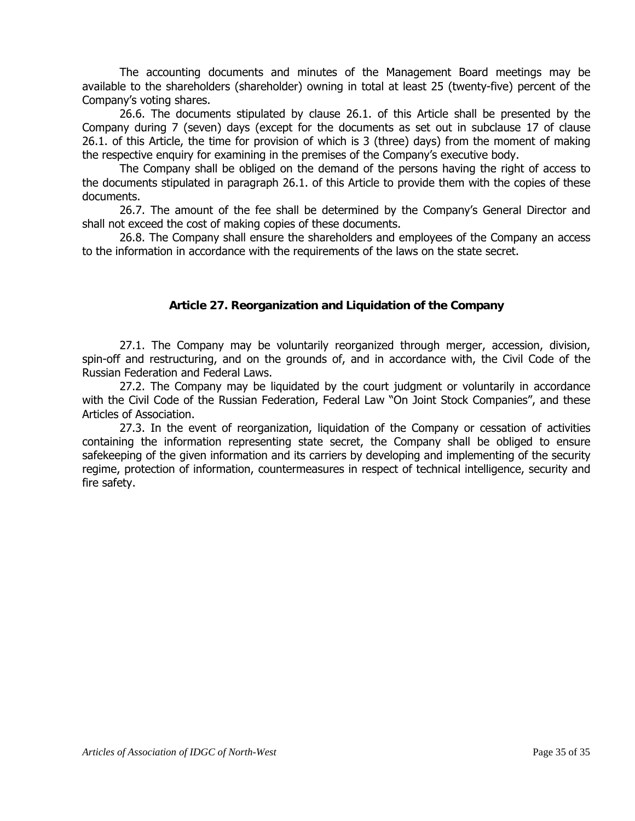The accounting documents and minutes of the Management Board meetings may be available to the shareholders (shareholder) owning in total at least 25 (twenty-five) percent of the Company's voting shares.

26.6. The documents stipulated by clause 26.1. of this Article shall be presented by the Company during 7 (seven) days (except for the documents as set out in subclause 17 of clause 26.1. of this Article, the time for provision of which is 3 (three) days) from the moment of making the respective enquiry for examining in the premises of the Company's executive body.

The Company shall be obliged on the demand of the persons having the right of access to the documents stipulated in paragraph 26.1. of this Article to provide them with the copies of these documents.

26.7. The amount of the fee shall be determined by the Company's General Director and shall not exceed the cost of making copies of these documents.

26.8. The Company shall ensure the shareholders and employees of the Company an access to the information in accordance with the requirements of the laws on the state secret.

#### **Article 27. Reorganization and Liquidation of the Company**

27.1. The Company may be voluntarily reorganized through merger, accession, division, spin-off and restructuring, and on the grounds of, and in accordance with, the Civil Code of the Russian Federation and Federal Laws.

27.2. The Company may be liquidated by the court judgment or voluntarily in accordance with the Civil Code of the Russian Federation, Federal Law "On Joint Stock Companies", and these Articles of Association.

27.3. In the event of reorganization, liquidation of the Company or cessation of activities containing the information representing state secret, the Company shall be obliged to ensure safekeeping of the given information and its carriers by developing and implementing of the security regime, protection of information, countermeasures in respect of technical intelligence, security and fire safety.